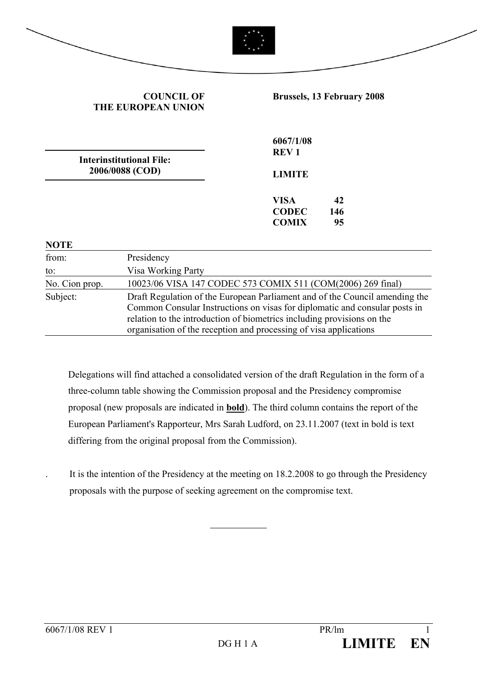|                      | <b>COUNCIL OF</b><br><b>THE EUROPEAN UNION</b>     | <b>Brussels, 13 February 2008</b>                                                                                                                                                                                                                                                                        |
|----------------------|----------------------------------------------------|----------------------------------------------------------------------------------------------------------------------------------------------------------------------------------------------------------------------------------------------------------------------------------------------------------|
|                      |                                                    | 6067/1/08<br><b>REV1</b>                                                                                                                                                                                                                                                                                 |
|                      | <b>Interinstitutional File:</b><br>2006/0088 (COD) | <b>LIMITE</b>                                                                                                                                                                                                                                                                                            |
|                      |                                                    | <b>VISA</b><br>42<br><b>CODEC</b><br>146<br><b>COMIX</b><br>95                                                                                                                                                                                                                                           |
| <b>NOTE</b><br>from: | Presidency                                         |                                                                                                                                                                                                                                                                                                          |
| to:                  | Visa Working Party                                 |                                                                                                                                                                                                                                                                                                          |
| No. Cion prop.       |                                                    | 10023/06 VISA 147 CODEC 573 COMIX 511 (COM(2006) 269 final)                                                                                                                                                                                                                                              |
| Subject:             |                                                    | Draft Regulation of the European Parliament and of the Council amending the<br>Common Consular Instructions on visas for diplomatic and consular posts in<br>relation to the introduction of biometrics including provisions on the<br>organisation of the reception and processing of visa applications |

 Delegations will find attached a consolidated version of the draft Regulation in the form of a three-column table showing the Commission proposal and the Presidency compromise proposal (new proposals are indicated in **bold**). The third column contains the report of the European Parliament's Rapporteur, Mrs Sarah Ludford, on 23.11.2007 (text in bold is text differing from the original proposal from the Commission).

. It is the intention of the Presidency at the meeting on 18.2.2008 to go through the Presidency proposals with the purpose of seeking agreement on the compromise text.

 $\overline{a}$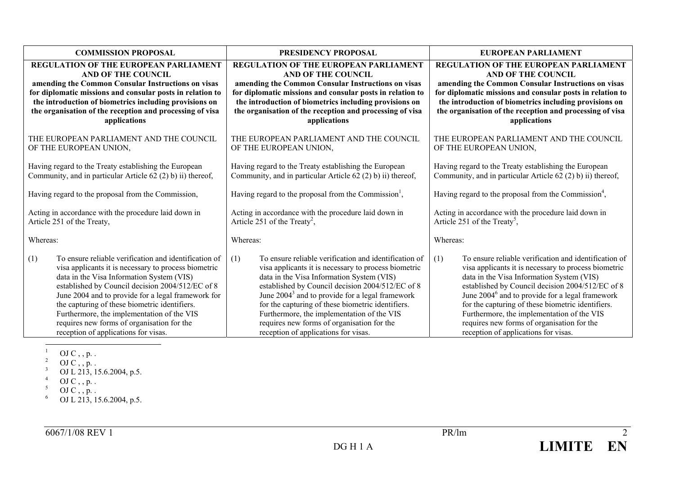| <b>COMMISSION PROPOSAL</b>                                  | PRESIDENCY PROPOSAL                                              | EUROPEAN PARLIAMENT                                              |  |  |
|-------------------------------------------------------------|------------------------------------------------------------------|------------------------------------------------------------------|--|--|
| <b>REGULATION OF THE EUROPEAN PARLIAMENT</b>                | <b>REGULATION OF THE EUROPEAN PARLIAMENT</b>                     | REGULATION OF THE EUROPEAN PARLIAMENT                            |  |  |
| <b>AND OF THE COUNCIL</b>                                   | AND OF THE COUNCIL                                               | <b>AND OF THE COUNCIL</b>                                        |  |  |
| amending the Common Consular Instructions on visas          | amending the Common Consular Instructions on visas               | amending the Common Consular Instructions on visas               |  |  |
| for diplomatic missions and consular posts in relation to   | for diplomatic missions and consular posts in relation to        | for diplomatic missions and consular posts in relation to        |  |  |
| the introduction of biometrics including provisions on      | the introduction of biometrics including provisions on           | the introduction of biometrics including provisions on           |  |  |
| the organisation of the reception and processing of visa    | the organisation of the reception and processing of visa         | the organisation of the reception and processing of visa         |  |  |
| applications                                                | applications                                                     | applications                                                     |  |  |
| THE EUROPEAN PARLIAMENT AND THE COUNCIL                     | THE EUROPEAN PARLIAMENT AND THE COUNCIL                          | THE EUROPEAN PARLIAMENT AND THE COUNCIL                          |  |  |
| OF THE EUROPEAN UNION,                                      | OF THE EUROPEAN UNION,                                           | OF THE EUROPEAN UNION,                                           |  |  |
| Having regard to the Treaty establishing the European       | Having regard to the Treaty establishing the European            | Having regard to the Treaty establishing the European            |  |  |
| Community, and in particular Article 62 (2) b) ii) thereof, | Community, and in particular Article 62 (2) b) ii) thereof,      | Community, and in particular Article 62 (2) b) ii) thereof,      |  |  |
| Having regard to the proposal from the Commission,          | Having regard to the proposal from the Commission <sup>1</sup> , | Having regard to the proposal from the Commission <sup>4</sup> , |  |  |
| Acting in accordance with the procedure laid down in        | Acting in accordance with the procedure laid down in             | Acting in accordance with the procedure laid down in             |  |  |
| Article 251 of the Treaty,                                  | Article 251 of the Treaty <sup>2</sup> ,                         | Article 251 of the Treaty <sup>5</sup> ,                         |  |  |
| Whereas:                                                    | Whereas:                                                         | Whereas:                                                         |  |  |
| To ensure reliable verification and identification of       | (1)                                                              | (1)                                                              |  |  |
| (1)                                                         | To ensure reliable verification and identification of            | To ensure reliable verification and identification of            |  |  |
| visa applicants it is necessary to process biometric        | visa applicants it is necessary to process biometric             | visa applicants it is necessary to process biometric             |  |  |
| data in the Visa Information System (VIS)                   | data in the Visa Information System (VIS)                        | data in the Visa Information System (VIS)                        |  |  |
| established by Council decision 2004/512/EC of 8            | established by Council decision 2004/512/EC of 8                 | established by Council decision 2004/512/EC of 8                 |  |  |
| June 2004 and to provide for a legal framework for          | June $20043$ and to provide for a legal framework                | June 2004 <sup>6</sup> and to provide for a legal framework      |  |  |
| the capturing of these biometric identifiers.               | for the capturing of these biometric identifiers.                | for the capturing of these biometric identifiers.                |  |  |
| Furthermore, the implementation of the VIS                  | Furthermore, the implementation of the VIS                       | Furthermore, the implementation of the VIS                       |  |  |
| requires new forms of organisation for the                  | requires new forms of organisation for the                       | requires new forms of organisation for the                       |  |  |
| reception of applications for visas.                        | reception of applications for visas.                             | reception of applications for visas.                             |  |  |

 $^{1}$  OJ C , , p. .

<sup>&</sup>lt;sup>2</sup> OJ C, , p. .

<sup>&</sup>lt;sup>3</sup> OJ L 213, 15.6.2004, p.5.

 $^{4}$  OJ C , , p. .

 $5$  OJ C, , p. .

 $^6$  OJ L 213, 15.6.2004, p.5.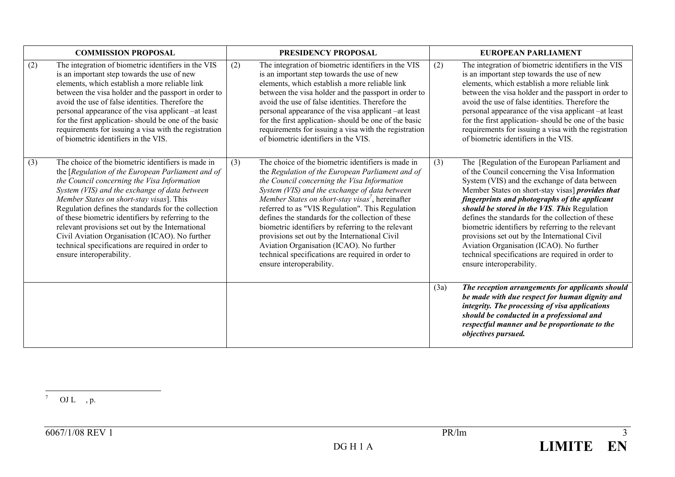| <b>COMMISSION PROPOSAL</b> |                                                                                                                                                                                                                                                                                                                                                                                                                                                                                                                                                         |     | PRESIDENCY PROPOSAL                                                                                                                                                                                                                                                                                                                                                                                                                                                                                                                                                                                                 | <b>EUROPEAN PARLIAMENT</b> |                                                                                                                                                                                                                                                                                                                                                                                                                                                                                                                                                                                                        |  |
|----------------------------|---------------------------------------------------------------------------------------------------------------------------------------------------------------------------------------------------------------------------------------------------------------------------------------------------------------------------------------------------------------------------------------------------------------------------------------------------------------------------------------------------------------------------------------------------------|-----|---------------------------------------------------------------------------------------------------------------------------------------------------------------------------------------------------------------------------------------------------------------------------------------------------------------------------------------------------------------------------------------------------------------------------------------------------------------------------------------------------------------------------------------------------------------------------------------------------------------------|----------------------------|--------------------------------------------------------------------------------------------------------------------------------------------------------------------------------------------------------------------------------------------------------------------------------------------------------------------------------------------------------------------------------------------------------------------------------------------------------------------------------------------------------------------------------------------------------------------------------------------------------|--|
| (2)                        | The integration of biometric identifiers in the VIS<br>is an important step towards the use of new<br>elements, which establish a more reliable link<br>between the visa holder and the passport in order to<br>avoid the use of false identities. Therefore the<br>personal appearance of the visa applicant –at least<br>for the first application-should be one of the basic<br>requirements for issuing a visa with the registration<br>of biometric identifiers in the VIS.                                                                        | (2) | The integration of biometric identifiers in the VIS<br>is an important step towards the use of new<br>elements, which establish a more reliable link<br>between the visa holder and the passport in order to<br>avoid the use of false identities. Therefore the<br>personal appearance of the visa applicant -at least<br>for the first application-should be one of the basic<br>requirements for issuing a visa with the registration<br>of biometric identifiers in the VIS.                                                                                                                                    | (2)                        | The integration of biometric identifiers in the VIS<br>is an important step towards the use of new<br>elements, which establish a more reliable link<br>between the visa holder and the passport in order to<br>avoid the use of false identities. Therefore the<br>personal appearance of the visa applicant –at least<br>for the first application-should be one of the basic<br>requirements for issuing a visa with the registration<br>of biometric identifiers in the VIS.                                                                                                                       |  |
| (3)                        | The choice of the biometric identifiers is made in<br>the [Regulation of the European Parliament and of<br>the Council concerning the Visa Information<br>System (VIS) and the exchange of data between<br>Member States on short-stay visas]. This<br>Regulation defines the standards for the collection<br>of these biometric identifiers by referring to the<br>relevant provisions set out by the International<br>Civil Aviation Organisation (ICAO). No further<br>technical specifications are required in order to<br>ensure interoperability. | (3) | The choice of the biometric identifiers is made in<br>the Regulation of the European Parliament and of<br>the Council concerning the Visa Information<br>System (VIS) and the exchange of data between<br>Member States on short-stay visas <sup>7</sup> , hereinafter<br>referred to as "VIS Regulation". This Regulation<br>defines the standards for the collection of these<br>biometric identifiers by referring to the relevant<br>provisions set out by the International Civil<br>Aviation Organisation (ICAO). No further<br>technical specifications are required in order to<br>ensure interoperability. | (3)                        | The [Regulation of the European Parliament and<br>of the Council concerning the Visa Information<br>System (VIS) and the exchange of data between<br>Member States on short-stay visas] <i>provides that</i><br>fingerprints and photographs of the applicant<br>should be stored in the VIS. This Regulation<br>defines the standards for the collection of these<br>biometric identifiers by referring to the relevant<br>provisions set out by the International Civil<br>Aviation Organisation (ICAO). No further<br>technical specifications are required in order to<br>ensure interoperability. |  |
|                            |                                                                                                                                                                                                                                                                                                                                                                                                                                                                                                                                                         |     |                                                                                                                                                                                                                                                                                                                                                                                                                                                                                                                                                                                                                     | (3a)                       | The reception arrangements for applicants should<br>be made with due respect for human dignity and<br>integrity. The processing of visa applications<br>should be conducted in a professional and<br>respectful manner and be proportionate to the<br>objectives pursued.                                                                                                                                                                                                                                                                                                                              |  |

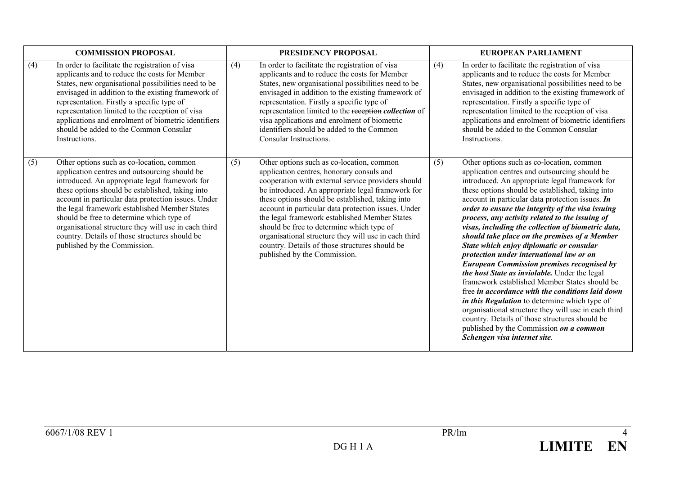| <b>COMMISSION PROPOSAL</b> |                                                                                                                                                                                                                                                                                                                                                                                                                                                                                                 |     | PRESIDENCY PROPOSAL                                                                                                                                                                                                                                                                                                                                                                                                                                                                                                                                  |     | <b>EUROPEAN PARLIAMENT</b>                                                                                                                                                                                                                                                                                                                                                                                                                                                                                                                                                                                                                                                                                                                                                                                                                                                                                                                                                                                   |  |  |
|----------------------------|-------------------------------------------------------------------------------------------------------------------------------------------------------------------------------------------------------------------------------------------------------------------------------------------------------------------------------------------------------------------------------------------------------------------------------------------------------------------------------------------------|-----|------------------------------------------------------------------------------------------------------------------------------------------------------------------------------------------------------------------------------------------------------------------------------------------------------------------------------------------------------------------------------------------------------------------------------------------------------------------------------------------------------------------------------------------------------|-----|--------------------------------------------------------------------------------------------------------------------------------------------------------------------------------------------------------------------------------------------------------------------------------------------------------------------------------------------------------------------------------------------------------------------------------------------------------------------------------------------------------------------------------------------------------------------------------------------------------------------------------------------------------------------------------------------------------------------------------------------------------------------------------------------------------------------------------------------------------------------------------------------------------------------------------------------------------------------------------------------------------------|--|--|
| (4)                        | In order to facilitate the registration of visa<br>applicants and to reduce the costs for Member<br>States, new organisational possibilities need to be<br>envisaged in addition to the existing framework of<br>representation. Firstly a specific type of<br>representation limited to the reception of visa<br>applications and enrolment of biometric identifiers<br>should be added to the Common Consular<br>Instructions.                                                                | (4) | In order to facilitate the registration of visa<br>applicants and to reduce the costs for Member<br>States, new organisational possibilities need to be<br>envisaged in addition to the existing framework of<br>representation. Firstly a specific type of<br>representation limited to the reception collection of<br>visa applications and enrolment of biometric<br>identifiers should be added to the Common<br>Consular Instructions.                                                                                                          | (4) | In order to facilitate the registration of visa<br>applicants and to reduce the costs for Member<br>States, new organisational possibilities need to be<br>envisaged in addition to the existing framework of<br>representation. Firstly a specific type of<br>representation limited to the reception of visa<br>applications and enrolment of biometric identifiers<br>should be added to the Common Consular<br>Instructions.                                                                                                                                                                                                                                                                                                                                                                                                                                                                                                                                                                             |  |  |
| (5)                        | Other options such as co-location, common<br>application centres and outsourcing should be<br>introduced. An appropriate legal framework for<br>these options should be established, taking into<br>account in particular data protection issues. Under<br>the legal framework established Member States<br>should be free to determine which type of<br>organisational structure they will use in each third<br>country. Details of those structures should be<br>published by the Commission. | (5) | Other options such as co-location, common<br>application centres, honorary consuls and<br>cooperation with external service providers should<br>be introduced. An appropriate legal framework for<br>these options should be established, taking into<br>account in particular data protection issues. Under<br>the legal framework established Member States<br>should be free to determine which type of<br>organisational structure they will use in each third<br>country. Details of those structures should be<br>published by the Commission. | (5) | Other options such as co-location, common<br>application centres and outsourcing should be<br>introduced. An appropriate legal framework for<br>these options should be established, taking into<br>account in particular data protection issues. In<br>order to ensure the integrity of the visa issuing<br>process, any activity related to the issuing of<br>visas, including the collection of biometric data,<br>should take place on the premises of a Member<br>State which enjoy diplomatic or consular<br>protection under international law or on<br><b>European Commission premises recognised by</b><br>the host State as inviolable. Under the legal<br>framework established Member States should be<br>free in accordance with the conditions laid down<br>in this Regulation to determine which type of<br>organisational structure they will use in each third<br>country. Details of those structures should be<br>published by the Commission on a common<br>Schengen visa internet site. |  |  |

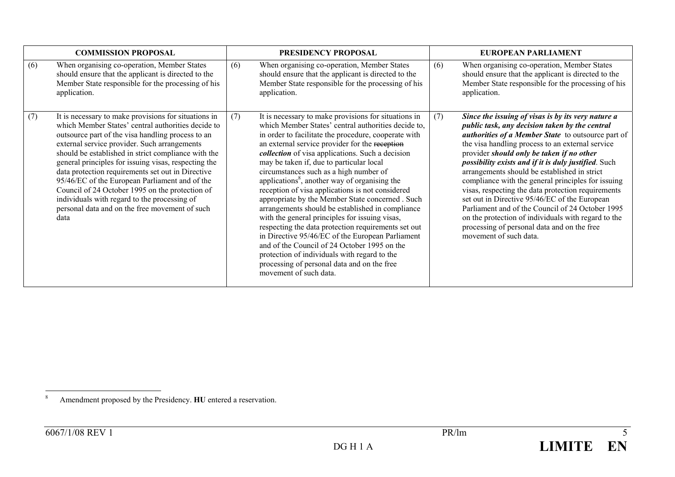| <b>COMMISSION PROPOSAL</b> |                                                                                                                                                                                                                                                                                                                                                                                                                                                                                                                                                                                                    | PRESIDENCY PROPOSAL |                                                                                                                                                                                                                                                                                                                                                                                                                                                                                                                                                                                                                                                                                                                                                                                                                                                                                                                                       |     | EUROPEAN PARLIAMENT                                                                                                                                                                                                                                                                                                                                                                                                                                                                                                                                                                                                                                                                                                         |  |  |
|----------------------------|----------------------------------------------------------------------------------------------------------------------------------------------------------------------------------------------------------------------------------------------------------------------------------------------------------------------------------------------------------------------------------------------------------------------------------------------------------------------------------------------------------------------------------------------------------------------------------------------------|---------------------|---------------------------------------------------------------------------------------------------------------------------------------------------------------------------------------------------------------------------------------------------------------------------------------------------------------------------------------------------------------------------------------------------------------------------------------------------------------------------------------------------------------------------------------------------------------------------------------------------------------------------------------------------------------------------------------------------------------------------------------------------------------------------------------------------------------------------------------------------------------------------------------------------------------------------------------|-----|-----------------------------------------------------------------------------------------------------------------------------------------------------------------------------------------------------------------------------------------------------------------------------------------------------------------------------------------------------------------------------------------------------------------------------------------------------------------------------------------------------------------------------------------------------------------------------------------------------------------------------------------------------------------------------------------------------------------------------|--|--|
| (6)                        | When organising co-operation, Member States<br>should ensure that the applicant is directed to the<br>Member State responsible for the processing of his<br>application.                                                                                                                                                                                                                                                                                                                                                                                                                           | (6)                 | When organising co-operation, Member States<br>should ensure that the applicant is directed to the<br>Member State responsible for the processing of his<br>application.                                                                                                                                                                                                                                                                                                                                                                                                                                                                                                                                                                                                                                                                                                                                                              | (6) | When organising co-operation, Member States<br>should ensure that the applicant is directed to the<br>Member State responsible for the processing of his<br>application.                                                                                                                                                                                                                                                                                                                                                                                                                                                                                                                                                    |  |  |
| (7)                        | It is necessary to make provisions for situations in<br>which Member States' central authorities decide to<br>outsource part of the visa handling process to an<br>external service provider. Such arrangements<br>should be established in strict compliance with the<br>general principles for issuing visas, respecting the<br>data protection requirements set out in Directive<br>95/46/EC of the European Parliament and of the<br>Council of 24 October 1995 on the protection of<br>individuals with regard to the processing of<br>personal data and on the free movement of such<br>data | (7)                 | It is necessary to make provisions for situations in<br>which Member States' central authorities decide to,<br>in order to facilitate the procedure, cooperate with<br>an external service provider for the reception<br><i>collection</i> of visa applications. Such a decision<br>may be taken if, due to particular local<br>circumstances such as a high number of<br>applications <sup>8</sup> , another way of organising the<br>reception of visa applications is not considered<br>appropriate by the Member State concerned . Such<br>arrangements should be established in compliance<br>with the general principles for issuing visas,<br>respecting the data protection requirements set out<br>in Directive 95/46/EC of the European Parliament<br>and of the Council of 24 October 1995 on the<br>protection of individuals with regard to the<br>processing of personal data and on the free<br>movement of such data. | (7) | Since the issuing of visas is by its very nature a<br>public task, any decision taken by the central<br>authorities of a Member State to outsource part of<br>the visa handling process to an external service<br>provider should only be taken if no other<br><i>possibility exists and if it is duly justified.</i> Such<br>arrangements should be established in strict<br>compliance with the general principles for issuing<br>visas, respecting the data protection requirements<br>set out in Directive 95/46/EC of the European<br>Parliament and of the Council of 24 October 1995<br>on the protection of individuals with regard to the<br>processing of personal data and on the free<br>movement of such data. |  |  |

<sup>8</sup> Amendment proposed by the Presidency. **HU** entered a reservation.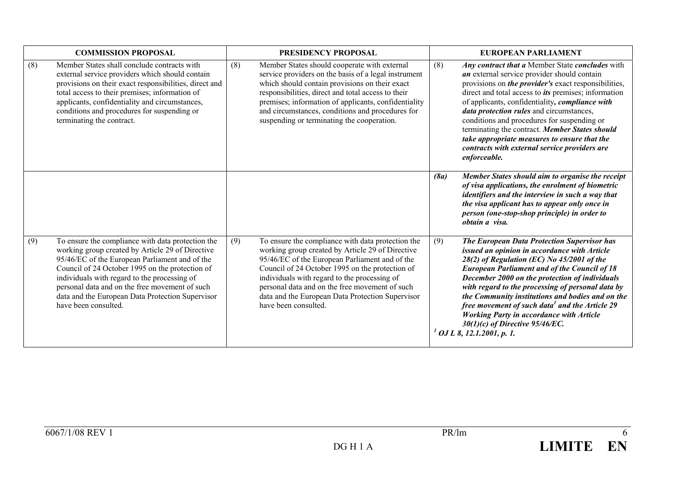| <b>COMMISSION PROPOSAL</b> |                                                                                                                                                                                                                                                                                                                                                                                          |     | PRESIDENCY PROPOSAL                                                                                                                                                                                                                                                                                                                                                                      |      | <b>EUROPEAN PARLIAMENT</b>                                                                                                                                                                                                                                                                                                                                                                                                                                                                                                                                    |  |  |
|----------------------------|------------------------------------------------------------------------------------------------------------------------------------------------------------------------------------------------------------------------------------------------------------------------------------------------------------------------------------------------------------------------------------------|-----|------------------------------------------------------------------------------------------------------------------------------------------------------------------------------------------------------------------------------------------------------------------------------------------------------------------------------------------------------------------------------------------|------|---------------------------------------------------------------------------------------------------------------------------------------------------------------------------------------------------------------------------------------------------------------------------------------------------------------------------------------------------------------------------------------------------------------------------------------------------------------------------------------------------------------------------------------------------------------|--|--|
| (8)                        | Member States shall conclude contracts with<br>external service providers which should contain<br>provisions on their exact responsibilities, direct and<br>total access to their premises; information of<br>applicants, confidentiality and circumstances,<br>conditions and procedures for suspending or<br>terminating the contract.                                                 | (8) | Member States should cooperate with external<br>service providers on the basis of a legal instrument<br>which should contain provisions on their exact<br>responsibilities, direct and total access to their<br>premises; information of applicants, confidentiality<br>and circumstances, conditions and procedures for<br>suspending or terminating the cooperation.                   | (8)  | Any contract that a Member State concludes with<br>an external service provider should contain<br>provisions on the provider's exact responsibilities,<br>direct and total access to <i>its</i> premises; information<br>of applicants, confidentiality, compliance with<br>data protection rules and circumstances,<br>conditions and procedures for suspending or<br>terminating the contract. Member States should<br>take appropriate measures to ensure that the<br>contracts with external service providers are<br>enforceable.                        |  |  |
|                            |                                                                                                                                                                                                                                                                                                                                                                                          |     |                                                                                                                                                                                                                                                                                                                                                                                          | (8a) | Member States should aim to organise the receipt<br>of visa applications, the enrolment of biometric<br>identifiers and the interview in such a way that<br>the visa applicant has to appear only once in<br>person (one-stop-shop principle) in order to<br>obtain a visa.                                                                                                                                                                                                                                                                                   |  |  |
| (9)                        | To ensure the compliance with data protection the<br>working group created by Article 29 of Directive<br>95/46/EC of the European Parliament and of the<br>Council of 24 October 1995 on the protection of<br>individuals with regard to the processing of<br>personal data and on the free movement of such<br>data and the European Data Protection Supervisor<br>have been consulted. | (9) | To ensure the compliance with data protection the<br>working group created by Article 29 of Directive<br>95/46/EC of the European Parliament and of the<br>Council of 24 October 1995 on the protection of<br>individuals with regard to the processing of<br>personal data and on the free movement of such<br>data and the European Data Protection Supervisor<br>have been consulted. | (9)  | <b>The European Data Protection Supervisor has</b><br>issued an opinion in accordance with Article<br>$28(2)$ of Regulation (EC) No 45/2001 of the<br><b>European Parliament and of the Council of 18</b><br>December 2000 on the protection of individuals<br>with regard to the processing of personal data by<br>the Community institutions and bodies and on the<br>free movement of such data <sup>1</sup> and the Article 29<br><b>Working Party in accordance with Article</b><br>$30(1)(c)$ of Directive 95/46/EC.<br>$^{1}$ OJ L 8, 12.1.2001, p. 1. |  |  |

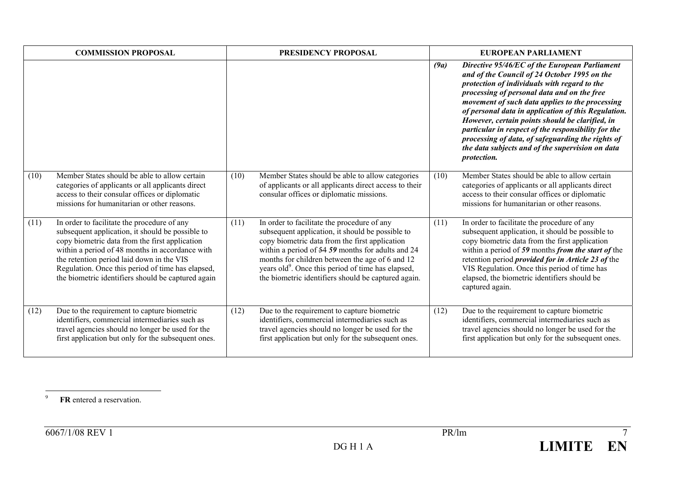| <b>COMMISSION PROPOSAL</b> |                                                                                                                                                                                                                                                                                                                                                              |      | PRESIDENCY PROPOSAL                                                                                                                                                                                                                                                                                                                                                                |      | <b>EUROPEAN PARLIAMENT</b>                                                                                                                                                                                                                                                                                                                                                                                                                                                                                                                      |
|----------------------------|--------------------------------------------------------------------------------------------------------------------------------------------------------------------------------------------------------------------------------------------------------------------------------------------------------------------------------------------------------------|------|------------------------------------------------------------------------------------------------------------------------------------------------------------------------------------------------------------------------------------------------------------------------------------------------------------------------------------------------------------------------------------|------|-------------------------------------------------------------------------------------------------------------------------------------------------------------------------------------------------------------------------------------------------------------------------------------------------------------------------------------------------------------------------------------------------------------------------------------------------------------------------------------------------------------------------------------------------|
|                            |                                                                                                                                                                                                                                                                                                                                                              |      |                                                                                                                                                                                                                                                                                                                                                                                    | (9a) | Directive 95/46/EC of the European Parliament<br>and of the Council of 24 October 1995 on the<br>protection of individuals with regard to the<br>processing of personal data and on the free<br>movement of such data applies to the processing<br>of personal data in application of this Regulation.<br>However, certain points should be clarified, in<br>particular in respect of the responsibility for the<br>processing of data, of safeguarding the rights of<br>the data subjects and of the supervision on data<br><i>protection.</i> |
| (10)                       | Member States should be able to allow certain<br>categories of applicants or all applicants direct<br>access to their consular offices or diplomatic<br>missions for humanitarian or other reasons                                                                                                                                                           | (10) | Member States should be able to allow categories<br>of applicants or all applicants direct access to their<br>consular offices or diplomatic missions.                                                                                                                                                                                                                             | (10) | Member States should be able to allow certain<br>categories of applicants or all applicants direct<br>access to their consular offices or diplomatic<br>missions for humanitarian or other reasons.                                                                                                                                                                                                                                                                                                                                             |
| (11)                       | In order to facilitate the procedure of any<br>subsequent application, it should be possible to<br>copy biometric data from the first application<br>within a period of 48 months in accordance with<br>the retention period laid down in the VIS<br>Regulation. Once this period of time has elapsed,<br>the biometric identifiers should be captured again | (11) | In order to facilitate the procedure of any<br>subsequent application, it should be possible to<br>copy biometric data from the first application<br>within a period of 54 59 months for adults and 24<br>months for children between the age of 6 and 12<br>years old <sup>9</sup> . Once this period of time has elapsed,<br>the biometric identifiers should be captured again. | (11) | In order to facilitate the procedure of any<br>subsequent application, it should be possible to<br>copy biometric data from the first application<br>within a period of 59 months from the start of the<br>retention period <i>provided for in Article 23 of</i> the<br>VIS Regulation. Once this period of time has<br>elapsed, the biometric identifiers should be<br>captured again.                                                                                                                                                         |
| (12)                       | Due to the requirement to capture biometric<br>identifiers, commercial intermediaries such as<br>travel agencies should no longer be used for the<br>first application but only for the subsequent ones.                                                                                                                                                     | (12) | Due to the requirement to capture biometric<br>identifiers, commercial intermediaries such as<br>travel agencies should no longer be used for the<br>first application but only for the subsequent ones.                                                                                                                                                                           | (12) | Due to the requirement to capture biometric<br>identifiers, commercial intermediaries such as<br>travel agencies should no longer be used for the<br>first application but only for the subsequent ones.                                                                                                                                                                                                                                                                                                                                        |

9**FR** entered a reservation.

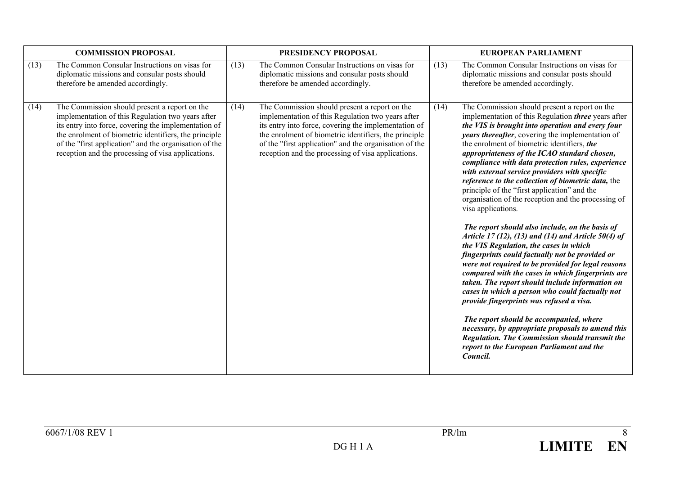| <b>COMMISSION PROPOSAL</b> |                                                                                                                                                                                                                                                                                                                                     |      | PRESIDENCY PROPOSAL                                                                                                                                                                                                                                                                                                                 |      | <b>EUROPEAN PARLIAMENT</b>                                                                                                                                                                                                                                                                                                                                                                                                                                                                                                                                                                                                                                                                                                                                                                                                                                                                                                                                                                                                                                                                                                                                                                                                                                                                 |  |  |
|----------------------------|-------------------------------------------------------------------------------------------------------------------------------------------------------------------------------------------------------------------------------------------------------------------------------------------------------------------------------------|------|-------------------------------------------------------------------------------------------------------------------------------------------------------------------------------------------------------------------------------------------------------------------------------------------------------------------------------------|------|--------------------------------------------------------------------------------------------------------------------------------------------------------------------------------------------------------------------------------------------------------------------------------------------------------------------------------------------------------------------------------------------------------------------------------------------------------------------------------------------------------------------------------------------------------------------------------------------------------------------------------------------------------------------------------------------------------------------------------------------------------------------------------------------------------------------------------------------------------------------------------------------------------------------------------------------------------------------------------------------------------------------------------------------------------------------------------------------------------------------------------------------------------------------------------------------------------------------------------------------------------------------------------------------|--|--|
| (13)                       | The Common Consular Instructions on visas for<br>diplomatic missions and consular posts should<br>therefore be amended accordingly.                                                                                                                                                                                                 | (13) | The Common Consular Instructions on visas for<br>diplomatic missions and consular posts should<br>therefore be amended accordingly.                                                                                                                                                                                                 | (13) | The Common Consular Instructions on visas for<br>diplomatic missions and consular posts should<br>therefore be amended accordingly.                                                                                                                                                                                                                                                                                                                                                                                                                                                                                                                                                                                                                                                                                                                                                                                                                                                                                                                                                                                                                                                                                                                                                        |  |  |
| (14)                       | The Commission should present a report on the<br>implementation of this Regulation two years after<br>its entry into force, covering the implementation of<br>the enrolment of biometric identifiers, the principle<br>of the "first application" and the organisation of the<br>reception and the processing of visa applications. | (14) | The Commission should present a report on the<br>implementation of this Regulation two years after<br>its entry into force, covering the implementation of<br>the enrolment of biometric identifiers, the principle<br>of the "first application" and the organisation of the<br>reception and the processing of visa applications. | (14) | The Commission should present a report on the<br>implementation of this Regulation <i>three</i> years after<br>the VIS is brought into operation and every four<br>years thereafter, covering the implementation of<br>the enrolment of biometric identifiers, the<br>appropriateness of the ICAO standard chosen,<br>compliance with data protection rules, experience<br>with external service providers with specific<br>reference to the collection of biometric data, the<br>principle of the "first application" and the<br>organisation of the reception and the processing of<br>visa applications.<br>The report should also include, on the basis of<br>Article 17 (12), (13) and (14) and Article 50(4) of<br>the VIS Regulation, the cases in which<br>fingerprints could factually not be provided or<br>were not required to be provided for legal reasons<br>compared with the cases in which fingerprints are<br>taken. The report should include information on<br>cases in which a person who could factually not<br>provide fingerprints was refused a visa.<br>The report should be accompanied, where<br>necessary, by appropriate proposals to amend this<br>Regulation. The Commission should transmit the<br>report to the European Parliament and the<br>Council. |  |  |

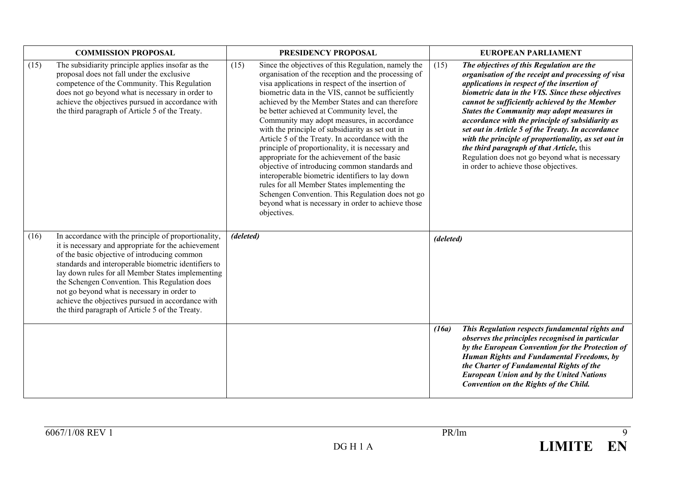| <b>COMMISSION PROPOSAL</b> |                                                                                                                                                                                                                                                                                                                                                                                                                                                                                  | PRESIDENCY PROPOSAL                                                                                                                                                                                                                                                                                                                                                                                                                                                                                                                                                                                                                                                                                                                                                                                                                                                  | <b>EUROPEAN PARLIAMENT</b> |                                                                                                                                                                                                                                                                                                                                                                                                                                                                                                                                                                                                              |  |
|----------------------------|----------------------------------------------------------------------------------------------------------------------------------------------------------------------------------------------------------------------------------------------------------------------------------------------------------------------------------------------------------------------------------------------------------------------------------------------------------------------------------|----------------------------------------------------------------------------------------------------------------------------------------------------------------------------------------------------------------------------------------------------------------------------------------------------------------------------------------------------------------------------------------------------------------------------------------------------------------------------------------------------------------------------------------------------------------------------------------------------------------------------------------------------------------------------------------------------------------------------------------------------------------------------------------------------------------------------------------------------------------------|----------------------------|--------------------------------------------------------------------------------------------------------------------------------------------------------------------------------------------------------------------------------------------------------------------------------------------------------------------------------------------------------------------------------------------------------------------------------------------------------------------------------------------------------------------------------------------------------------------------------------------------------------|--|
| (15)                       | The subsidiarity principle applies insofar as the<br>proposal does not fall under the exclusive<br>competence of the Community. This Regulation<br>does not go beyond what is necessary in order to<br>achieve the objectives pursued in accordance with<br>the third paragraph of Article 5 of the Treaty.                                                                                                                                                                      | (15)<br>Since the objectives of this Regulation, namely the<br>organisation of the reception and the processing of<br>visa applications in respect of the insertion of<br>biometric data in the VIS, cannot be sufficiently<br>achieved by the Member States and can therefore<br>be better achieved at Community level, the<br>Community may adopt measures, in accordance<br>with the principle of subsidiarity as set out in<br>Article 5 of the Treaty. In accordance with the<br>principle of proportionality, it is necessary and<br>appropriate for the achievement of the basic<br>objective of introducing common standards and<br>interoperable biometric identifiers to lay down<br>rules for all Member States implementing the<br>Schengen Convention. This Regulation does not go<br>beyond what is necessary in order to achieve those<br>objectives. | (15)                       | The objectives of this Regulation are the<br>organisation of the receipt and processing of visa<br>applications in respect of the insertion of<br>biometric data in the VIS. Since these objectives<br>cannot be sufficiently achieved by the Member<br>States the Community may adopt measures in<br>accordance with the principle of subsidiarity as<br>set out in Article 5 of the Treaty. In accordance<br>with the principle of proportionality, as set out in<br>the third paragraph of that Article, this<br>Regulation does not go beyond what is necessary<br>in order to achieve those objectives. |  |
| (16)                       | In accordance with the principle of proportionality,<br>it is necessary and appropriate for the achievement<br>of the basic objective of introducing common<br>standards and interoperable biometric identifiers to<br>lay down rules for all Member States implementing<br>the Schengen Convention. This Regulation does<br>not go beyond what is necessary in order to<br>achieve the objectives pursued in accordance with<br>the third paragraph of Article 5 of the Treaty. | (deleted)                                                                                                                                                                                                                                                                                                                                                                                                                                                                                                                                                                                                                                                                                                                                                                                                                                                            | (deleted)                  |                                                                                                                                                                                                                                                                                                                                                                                                                                                                                                                                                                                                              |  |
|                            |                                                                                                                                                                                                                                                                                                                                                                                                                                                                                  |                                                                                                                                                                                                                                                                                                                                                                                                                                                                                                                                                                                                                                                                                                                                                                                                                                                                      | (16a)                      | This Regulation respects fundamental rights and<br>observes the principles recognised in particular<br>by the European Convention for the Protection of<br>Human Rights and Fundamental Freedoms, by<br>the Charter of Fundamental Rights of the<br><b>European Union and by the United Nations</b><br>Convention on the Rights of the Child.                                                                                                                                                                                                                                                                |  |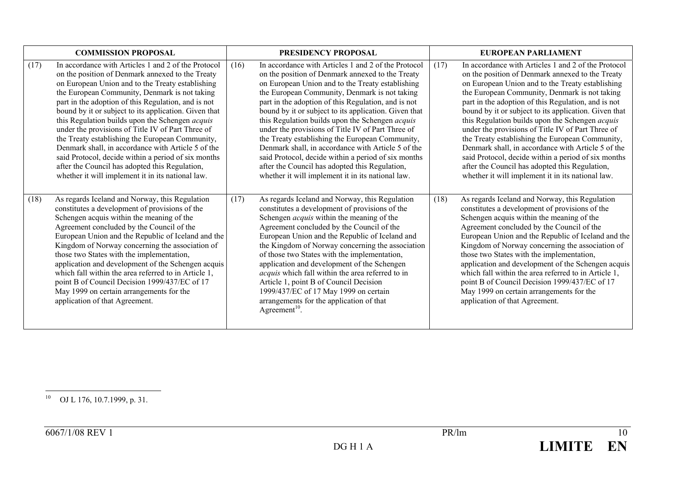| <b>COMMISSION PROPOSAL</b> |                                                                                                                                                                                                                                                                                                                                                                                                                                                                                                                                                                                                                                                                                                             | <b>PRESIDENCY PROPOSAL</b> |                                                                                                                                                                                                                                                                                                                                                                                                                                                                                                                                                                                                                                                                                                             | EUROPEAN PARLIAMENT |                                                                                                                                                                                                                                                                                                                                                                                                                                                                                                                                                                                                                                                                                                             |  |
|----------------------------|-------------------------------------------------------------------------------------------------------------------------------------------------------------------------------------------------------------------------------------------------------------------------------------------------------------------------------------------------------------------------------------------------------------------------------------------------------------------------------------------------------------------------------------------------------------------------------------------------------------------------------------------------------------------------------------------------------------|----------------------------|-------------------------------------------------------------------------------------------------------------------------------------------------------------------------------------------------------------------------------------------------------------------------------------------------------------------------------------------------------------------------------------------------------------------------------------------------------------------------------------------------------------------------------------------------------------------------------------------------------------------------------------------------------------------------------------------------------------|---------------------|-------------------------------------------------------------------------------------------------------------------------------------------------------------------------------------------------------------------------------------------------------------------------------------------------------------------------------------------------------------------------------------------------------------------------------------------------------------------------------------------------------------------------------------------------------------------------------------------------------------------------------------------------------------------------------------------------------------|--|
| (17)                       | In accordance with Articles 1 and 2 of the Protocol<br>on the position of Denmark annexed to the Treaty<br>on European Union and to the Treaty establishing<br>the European Community, Denmark is not taking<br>part in the adoption of this Regulation, and is not<br>bound by it or subject to its application. Given that<br>this Regulation builds upon the Schengen acquis<br>under the provisions of Title IV of Part Three of<br>the Treaty establishing the European Community,<br>Denmark shall, in accordance with Article 5 of the<br>said Protocol, decide within a period of six months<br>after the Council has adopted this Regulation,<br>whether it will implement it in its national law. | (16)                       | In accordance with Articles 1 and 2 of the Protocol<br>on the position of Denmark annexed to the Treaty<br>on European Union and to the Treaty establishing<br>the European Community, Denmark is not taking<br>part in the adoption of this Regulation, and is not<br>bound by it or subject to its application. Given that<br>this Regulation builds upon the Schengen acquis<br>under the provisions of Title IV of Part Three of<br>the Treaty establishing the European Community,<br>Denmark shall, in accordance with Article 5 of the<br>said Protocol, decide within a period of six months<br>after the Council has adopted this Regulation,<br>whether it will implement it in its national law. | (17)                | In accordance with Articles 1 and 2 of the Protocol<br>on the position of Denmark annexed to the Treaty<br>on European Union and to the Treaty establishing<br>the European Community, Denmark is not taking<br>part in the adoption of this Regulation, and is not<br>bound by it or subject to its application. Given that<br>this Regulation builds upon the Schengen acquis<br>under the provisions of Title IV of Part Three of<br>the Treaty establishing the European Community,<br>Denmark shall, in accordance with Article 5 of the<br>said Protocol, decide within a period of six months<br>after the Council has adopted this Regulation,<br>whether it will implement it in its national law. |  |
| (18)                       | As regards Iceland and Norway, this Regulation<br>constitutes a development of provisions of the<br>Schengen acquis within the meaning of the<br>Agreement concluded by the Council of the<br>European Union and the Republic of Iceland and the<br>Kingdom of Norway concerning the association of<br>those two States with the implementation,<br>application and development of the Schengen acquis<br>which fall within the area referred to in Article 1,<br>point B of Council Decision 1999/437/EC of 17<br>May 1999 on certain arrangements for the<br>application of that Agreement.                                                                                                               | (17)                       | As regards Iceland and Norway, this Regulation<br>constitutes a development of provisions of the<br>Schengen <i>acquis</i> within the meaning of the<br>Agreement concluded by the Council of the<br>European Union and the Republic of Iceland and<br>the Kingdom of Norway concerning the association<br>of those two States with the implementation,<br>application and development of the Schengen<br>acquis which fall within the area referred to in<br>Article 1, point B of Council Decision<br>1999/437/EC of 17 May 1999 on certain<br>arrangements for the application of that<br>Agreement <sup>10</sup> .                                                                                      | (18)                | As regards Iceland and Norway, this Regulation<br>constitutes a development of provisions of the<br>Schengen acquis within the meaning of the<br>Agreement concluded by the Council of the<br>European Union and the Republic of Iceland and the<br>Kingdom of Norway concerning the association of<br>those two States with the implementation,<br>application and development of the Schengen acquis<br>which fall within the area referred to in Article 1,<br>point B of Council Decision 1999/437/EC of 17<br>May 1999 on certain arrangements for the<br>application of that Agreement.                                                                                                               |  |

10 OJ L 176, 10.7.1999, p. 31.

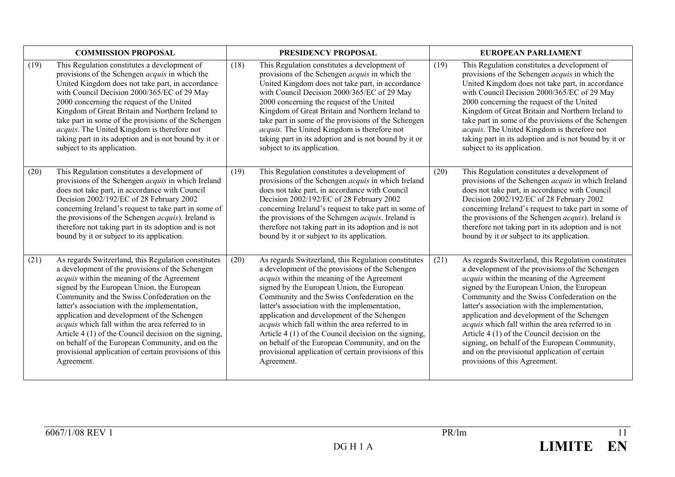| <b>COMMISSION PROPOSAL</b> |                                                                                                                                                                                                                                                                                                                                                                                                                                                                                                                                                                                           |      | PRESIDENCY PROPOSAL                                                                                                                                                                                                                                                                                                                                                                                                                                                                                                                                                                              |      | <b>EUROPEAN PARLIAMENT</b>                                                                                                                                                                                                                                                                                                                                                                                                                                                                                                                                                                       |  |  |
|----------------------------|-------------------------------------------------------------------------------------------------------------------------------------------------------------------------------------------------------------------------------------------------------------------------------------------------------------------------------------------------------------------------------------------------------------------------------------------------------------------------------------------------------------------------------------------------------------------------------------------|------|--------------------------------------------------------------------------------------------------------------------------------------------------------------------------------------------------------------------------------------------------------------------------------------------------------------------------------------------------------------------------------------------------------------------------------------------------------------------------------------------------------------------------------------------------------------------------------------------------|------|--------------------------------------------------------------------------------------------------------------------------------------------------------------------------------------------------------------------------------------------------------------------------------------------------------------------------------------------------------------------------------------------------------------------------------------------------------------------------------------------------------------------------------------------------------------------------------------------------|--|--|
| (19)                       | This Regulation constitutes a development of<br>provisions of the Schengen <i>acquis</i> in which the<br>United Kingdom does not take part, in accordance<br>with Council Decision 2000/365/EC of 29 May<br>2000 concerning the request of the United<br>Kingdom of Great Britain and Northern Ireland to<br>take part in some of the provisions of the Schengen<br>acquis. The United Kingdom is therefore not<br>taking part in its adoption and is not bound by it or<br>subject to its application.                                                                                   | (18) | This Regulation constitutes a development of<br>provisions of the Schengen <i>acquis</i> in which the<br>United Kingdom does not take part, in accordance<br>with Council Decision 2000/365/EC of 29 May<br>2000 concerning the request of the United<br>Kingdom of Great Britain and Northern Ireland to<br>take part in some of the provisions of the Schengen<br>acquis. The United Kingdom is therefore not<br>taking part in its adoption and is not bound by it or<br>subject to its application.                                                                                          | (19) | This Regulation constitutes a development of<br>provisions of the Schengen <i>acquis</i> in which the<br>United Kingdom does not take part, in accordance<br>with Council Decision 2000/365/EC of 29 May<br>2000 concerning the request of the United<br>Kingdom of Great Britain and Northern Ireland to<br>take part in some of the provisions of the Schengen<br>acquis. The United Kingdom is therefore not<br>taking part in its adoption and is not bound by it or<br>subject to its application.                                                                                          |  |  |
| (20)                       | This Regulation constitutes a development of<br>provisions of the Schengen <i>acquis</i> in which Ireland<br>does not take part, in accordance with Council<br>Decision 2002/192/EC of 28 February 2002<br>concerning Ireland's request to take part in some of<br>the provisions of the Schengen <i>acquis</i> ). Ireland is<br>therefore not taking part in its adoption and is not<br>bound by it or subject to its application.                                                                                                                                                       | (19) | This Regulation constitutes a development of<br>provisions of the Schengen <i>acquis</i> in which Ireland<br>does not take part, in accordance with Council<br>Decision 2002/192/EC of 28 February 2002<br>concerning Ireland's request to take part in some of<br>the provisions of the Schengen <i>acquis</i> . Ireland is<br>therefore not taking part in its adoption and is not<br>bound by it or subject to its application.                                                                                                                                                               | (20) | This Regulation constitutes a development of<br>provisions of the Schengen <i>acquis</i> in which Ireland<br>does not take part, in accordance with Council<br>Decision 2002/192/EC of 28 February 2002<br>concerning Ireland's request to take part in some of<br>the provisions of the Schengen <i>acquis</i> ). Ireland is<br>therefore not taking part in its adoption and is not<br>bound by it or subject to its application.                                                                                                                                                              |  |  |
| (21)                       | As regards Switzerland, this Regulation constitutes<br>a development of the provisions of the Schengen<br>acquis within the meaning of the Agreement<br>signed by the European Union, the European<br>Community and the Swiss Confederation on the<br>latter's association with the implementation,<br>application and development of the Schengen<br>acquis which fall within the area referred to in<br>Article 4 (1) of the Council decision on the signing,<br>on behalf of the European Community, and on the<br>provisional application of certain provisions of this<br>Agreement. | (20) | As regards Switzerland, this Regulation constitutes<br>a development of the provisions of the Schengen<br><i>acquis</i> within the meaning of the Agreement<br>signed by the European Union, the European<br>Community and the Swiss Confederation on the<br>latter's association with the implementation,<br>application and development of the Schengen<br>acquis which fall within the area referred to in<br>Article 4 (1) of the Council decision on the signing,<br>on behalf of the European Community, and on the<br>provisional application of certain provisions of this<br>Agreement. | (21) | As regards Switzerland, this Regulation constitutes<br>a development of the provisions of the Schengen<br><i>acquis</i> within the meaning of the Agreement<br>signed by the European Union, the European<br>Community and the Swiss Confederation on the<br>latter's association with the implementation,<br>application and development of the Schengen<br>acquis which fall within the area referred to in<br>Article 4 (1) of the Council decision on the<br>signing, on behalf of the European Community,<br>and on the provisional application of certain<br>provisions of this Agreement. |  |  |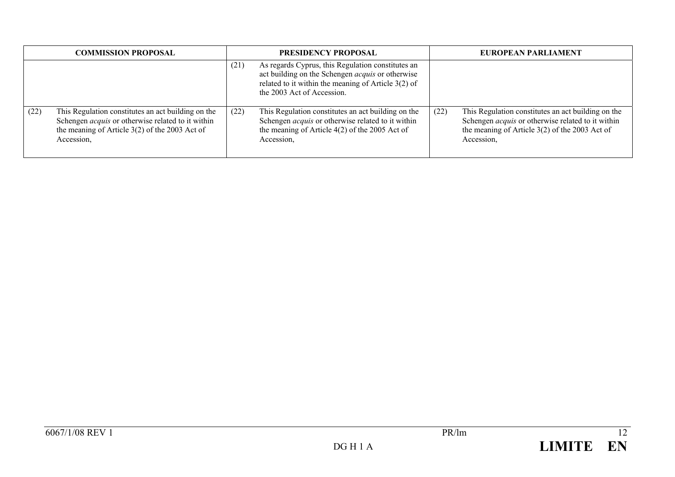| <b>COMMISSION PROPOSAL</b> |                                                                                                                                                                                  | PRESIDENCY PROPOSAL |                                                                                                                                                                                                     | EUROPEAN PARLIAMENT |                                                                                                                                                                                  |
|----------------------------|----------------------------------------------------------------------------------------------------------------------------------------------------------------------------------|---------------------|-----------------------------------------------------------------------------------------------------------------------------------------------------------------------------------------------------|---------------------|----------------------------------------------------------------------------------------------------------------------------------------------------------------------------------|
|                            |                                                                                                                                                                                  | (21)                | As regards Cyprus, this Regulation constitutes an<br>act building on the Schengen <i>acquis</i> or otherwise<br>related to it within the meaning of Article $3(2)$ of<br>the 2003 Act of Accession. |                     |                                                                                                                                                                                  |
| (22)                       | This Regulation constitutes an act building on the<br>Schengen <i>acquis</i> or otherwise related to it within<br>the meaning of Article $3(2)$ of the 2003 Act of<br>Accession. | (22)                | This Regulation constitutes an act building on the<br>Schengen <i>acquis</i> or otherwise related to it within<br>the meaning of Article $4(2)$ of the 2005 Act of<br>Accession,                    | (22)                | This Regulation constitutes an act building on the<br>Schengen <i>acquis</i> or otherwise related to it within<br>the meaning of Article $3(2)$ of the 2003 Act of<br>Accession. |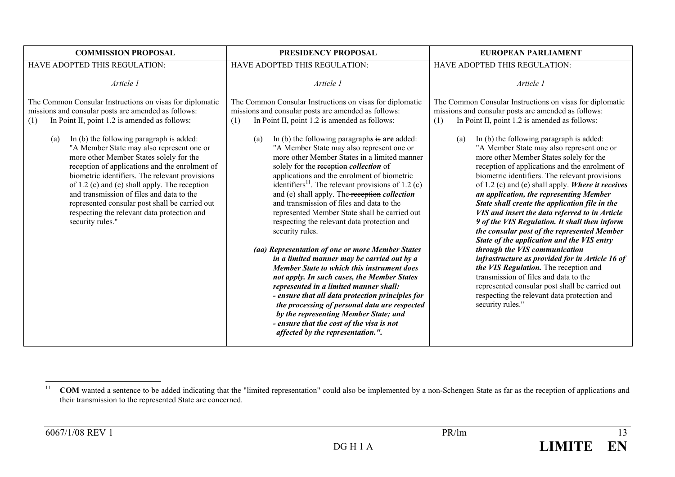| <b>COMMISSION PROPOSAL</b>                                                                                                                                                                                                                                                                                                                                                                                                                                                                                                                                                                                                                | <b>PRESIDENCY PROPOSAL</b>                                                                                                                                                                                                                                                                                                                                                                                                                                                                                                                                                                                                                                                                                                                                                                                                                                                                                                                                                                                                                                                                                                                                                                | EUROPEAN PARLIAMENT                                                                                                                                                                                                                                                                                                                                                                                                                                                                                                                                                                                                                                                                                                                                                                                                                                                                                                                                                                                                                                                 |
|-------------------------------------------------------------------------------------------------------------------------------------------------------------------------------------------------------------------------------------------------------------------------------------------------------------------------------------------------------------------------------------------------------------------------------------------------------------------------------------------------------------------------------------------------------------------------------------------------------------------------------------------|-------------------------------------------------------------------------------------------------------------------------------------------------------------------------------------------------------------------------------------------------------------------------------------------------------------------------------------------------------------------------------------------------------------------------------------------------------------------------------------------------------------------------------------------------------------------------------------------------------------------------------------------------------------------------------------------------------------------------------------------------------------------------------------------------------------------------------------------------------------------------------------------------------------------------------------------------------------------------------------------------------------------------------------------------------------------------------------------------------------------------------------------------------------------------------------------|---------------------------------------------------------------------------------------------------------------------------------------------------------------------------------------------------------------------------------------------------------------------------------------------------------------------------------------------------------------------------------------------------------------------------------------------------------------------------------------------------------------------------------------------------------------------------------------------------------------------------------------------------------------------------------------------------------------------------------------------------------------------------------------------------------------------------------------------------------------------------------------------------------------------------------------------------------------------------------------------------------------------------------------------------------------------|
| HAVE ADOPTED THIS REGULATION:                                                                                                                                                                                                                                                                                                                                                                                                                                                                                                                                                                                                             | HAVE ADOPTED THIS REGULATION:                                                                                                                                                                                                                                                                                                                                                                                                                                                                                                                                                                                                                                                                                                                                                                                                                                                                                                                                                                                                                                                                                                                                                             | HAVE ADOPTED THIS REGULATION:                                                                                                                                                                                                                                                                                                                                                                                                                                                                                                                                                                                                                                                                                                                                                                                                                                                                                                                                                                                                                                       |
| Article 1                                                                                                                                                                                                                                                                                                                                                                                                                                                                                                                                                                                                                                 | Article 1                                                                                                                                                                                                                                                                                                                                                                                                                                                                                                                                                                                                                                                                                                                                                                                                                                                                                                                                                                                                                                                                                                                                                                                 | Article 1                                                                                                                                                                                                                                                                                                                                                                                                                                                                                                                                                                                                                                                                                                                                                                                                                                                                                                                                                                                                                                                           |
| The Common Consular Instructions on visas for diplomatic<br>missions and consular posts are amended as follows:<br>In Point II, point 1.2 is amended as follows:<br>(1)<br>In (b) the following paragraph is added:<br>(a)<br>"A Member State may also represent one or<br>more other Member States solely for the<br>reception of applications and the enrolment of<br>biometric identifiers. The relevant provisions<br>of 1.2 (c) and (e) shall apply. The reception<br>and transmission of files and data to the<br>represented consular post shall be carried out<br>respecting the relevant data protection and<br>security rules." | The Common Consular Instructions on visas for diplomatic<br>missions and consular posts are amended as follows:<br>In Point II, point 1.2 is amended as follows:<br>(1)<br>In (b) the following paragraphs is are added:<br>(a)<br>"A Member State may also represent one or<br>more other Member States in a limited manner<br>solely for the reception collection of<br>applications and the enrolment of biometric<br>identifiers <sup>11</sup> . The relevant provisions of 1.2 (c)<br>and (e) shall apply. The reception collection<br>and transmission of files and data to the<br>represented Member State shall be carried out<br>respecting the relevant data protection and<br>security rules.<br>(aa) Representation of one or more Member States<br>in a limited manner may be carried out by a<br><b>Member State to which this instrument does</b><br>not apply. In such cases, the Member States<br>represented in a limited manner shall:<br>- ensure that all data protection principles for<br>the processing of personal data are respected<br>by the representing Member State; and<br>- ensure that the cost of the visa is not<br>affected by the representation.". | The Common Consular Instructions on visas for diplomatic<br>missions and consular posts are amended as follows:<br>In Point II, point 1.2 is amended as follows:<br>(1)<br>In (b) the following paragraph is added:<br>(a)<br>"A Member State may also represent one or<br>more other Member States solely for the<br>reception of applications and the enrolment of<br>biometric identifiers. The relevant provisions<br>of 1.2 (c) and (e) shall apply. Where it receives<br>an application, the representing Member<br>State shall create the application file in the<br>VIS and insert the data referred to in Article<br>9 of the VIS Regulation. It shall then inform<br>the consular post of the represented Member<br>State of the application and the VIS entry<br>through the VIS communication<br>infrastructure as provided for in Article 16 of<br>the VIS Regulation. The reception and<br>transmission of files and data to the<br>represented consular post shall be carried out<br>respecting the relevant data protection and<br>security rules." |

<sup>11</sup><sup>1</sup> COM wanted a sentence to be added indicating that the "limited representation" could also be implemented by a non-Schengen State as far as the reception of applications and their transmission to the represented State are concerned.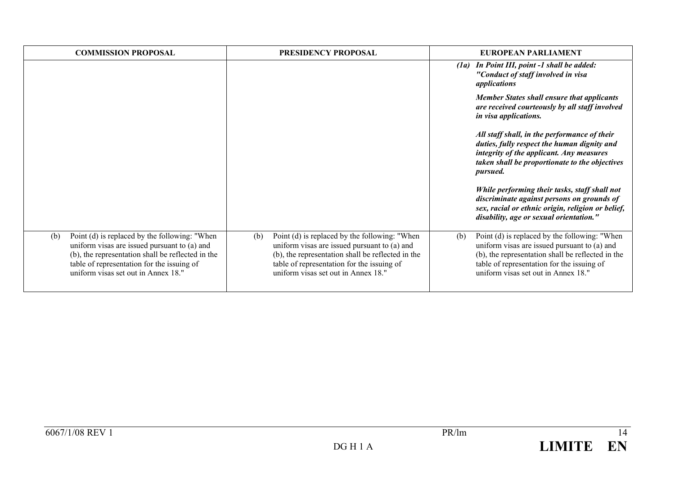| <b>COMMISSION PROPOSAL</b>                                                                                                                                                                                                                     | <b>PRESIDENCY PROPOSAL</b>                                                                                                                                                                                                                     | EUROPEAN PARLIAMENT                                                                                                                                                                                                                            |
|------------------------------------------------------------------------------------------------------------------------------------------------------------------------------------------------------------------------------------------------|------------------------------------------------------------------------------------------------------------------------------------------------------------------------------------------------------------------------------------------------|------------------------------------------------------------------------------------------------------------------------------------------------------------------------------------------------------------------------------------------------|
|                                                                                                                                                                                                                                                |                                                                                                                                                                                                                                                | In Point III, point -1 shall be added:<br>(Ia)<br>"Conduct of staff involved in visa<br>applications                                                                                                                                           |
|                                                                                                                                                                                                                                                |                                                                                                                                                                                                                                                | <b>Member States shall ensure that applicants</b><br>are received courteously by all staff involved<br>in visa applications.                                                                                                                   |
|                                                                                                                                                                                                                                                |                                                                                                                                                                                                                                                | All staff shall, in the performance of their<br>duties, fully respect the human dignity and<br>integrity of the applicant. Any measures<br>taken shall be proportionate to the objectives<br><i>pursued.</i>                                   |
|                                                                                                                                                                                                                                                |                                                                                                                                                                                                                                                | While performing their tasks, staff shall not<br>discriminate against persons on grounds of<br>sex, racial or ethnic origin, religion or belief,<br>disability, age or sexual orientation."                                                    |
| Point (d) is replaced by the following: "When<br>(b)<br>uniform visas are issued pursuant to (a) and<br>(b), the representation shall be reflected in the<br>table of representation for the issuing of<br>uniform visas set out in Annex 18." | Point (d) is replaced by the following: "When<br>(b)<br>uniform visas are issued pursuant to (a) and<br>(b), the representation shall be reflected in the<br>table of representation for the issuing of<br>uniform visas set out in Annex 18." | Point (d) is replaced by the following: "When<br>(b)<br>uniform visas are issued pursuant to (a) and<br>(b), the representation shall be reflected in the<br>table of representation for the issuing of<br>uniform visas set out in Annex 18." |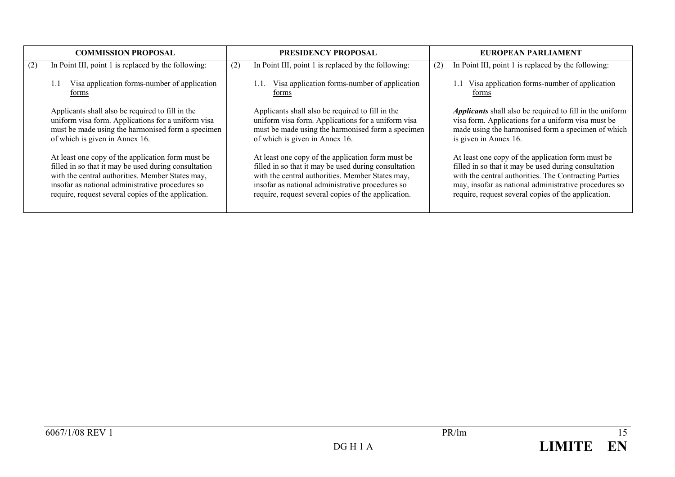|     | <b>COMMISSION PROPOSAL</b>                                                                                                                                                                                                                                               |     | <b>PRESIDENCY PROPOSAL</b>                                                                                                                                                                                                                                               |     | EUROPEAN PARLIAMENT                                                                                                                                                                                                                                                                |
|-----|--------------------------------------------------------------------------------------------------------------------------------------------------------------------------------------------------------------------------------------------------------------------------|-----|--------------------------------------------------------------------------------------------------------------------------------------------------------------------------------------------------------------------------------------------------------------------------|-----|------------------------------------------------------------------------------------------------------------------------------------------------------------------------------------------------------------------------------------------------------------------------------------|
| (2) | In Point III, point 1 is replaced by the following:                                                                                                                                                                                                                      | (2) | In Point III, point 1 is replaced by the following:                                                                                                                                                                                                                      | (2) | In Point III, point 1 is replaced by the following:                                                                                                                                                                                                                                |
|     | Visa application forms-number of application<br>1.1<br>forms                                                                                                                                                                                                             |     | Visa application forms-number of application<br>forms                                                                                                                                                                                                                    |     | 1.1 Visa application forms-number of application<br>forms                                                                                                                                                                                                                          |
|     | Applicants shall also be required to fill in the<br>uniform visa form. Applications for a uniform visa<br>must be made using the harmonised form a specimen<br>of which is given in Annex 16.                                                                            |     | Applicants shall also be required to fill in the<br>uniform visa form. Applications for a uniform visa<br>must be made using the harmonised form a specimen<br>of which is given in Annex 16.                                                                            |     | <i>Applicants</i> shall also be required to fill in the uniform<br>visa form. Applications for a uniform visa must be<br>made using the harmonised form a specimen of which<br>is given in Annex 16.                                                                               |
|     | At least one copy of the application form must be<br>filled in so that it may be used during consultation<br>with the central authorities. Member States may,<br>insofar as national administrative procedures so<br>require, request several copies of the application. |     | At least one copy of the application form must be<br>filled in so that it may be used during consultation<br>with the central authorities. Member States may,<br>insofar as national administrative procedures so<br>require, request several copies of the application. |     | At least one copy of the application form must be<br>filled in so that it may be used during consultation<br>with the central authorities. The Contracting Parties<br>may, insofar as national administrative procedures so<br>require, request several copies of the application. |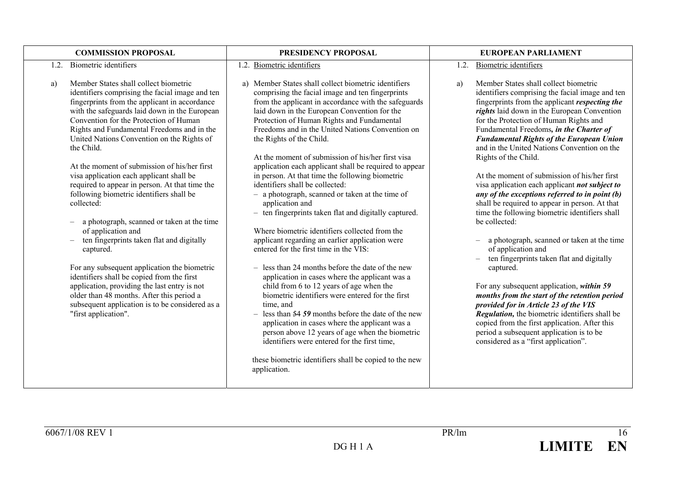|      | <b>COMMISSION PROPOSAL</b>                                                                                                                                                                                                                                                                                                                                                                                                                                                                                                                                                                                                                                                                                                                                                                                                                                                                                                                                 | PRESIDENCY PROPOSAL                                                                                                                                                                                                                                                                                                                                                                                                                                                                                                                                                                                                                                                                                                                                                                                                                                                                                                                                                                                                                                                                                                                                                                                                                                                                                                                            |      | EUROPEAN PARLIAMENT                                                                                                                                                                                                                                                                                                                                                                                                                                                                                                                                                                                                                                                                                                                                                                                                                                                                                                                                                                                                                                                                                                                                  |
|------|------------------------------------------------------------------------------------------------------------------------------------------------------------------------------------------------------------------------------------------------------------------------------------------------------------------------------------------------------------------------------------------------------------------------------------------------------------------------------------------------------------------------------------------------------------------------------------------------------------------------------------------------------------------------------------------------------------------------------------------------------------------------------------------------------------------------------------------------------------------------------------------------------------------------------------------------------------|------------------------------------------------------------------------------------------------------------------------------------------------------------------------------------------------------------------------------------------------------------------------------------------------------------------------------------------------------------------------------------------------------------------------------------------------------------------------------------------------------------------------------------------------------------------------------------------------------------------------------------------------------------------------------------------------------------------------------------------------------------------------------------------------------------------------------------------------------------------------------------------------------------------------------------------------------------------------------------------------------------------------------------------------------------------------------------------------------------------------------------------------------------------------------------------------------------------------------------------------------------------------------------------------------------------------------------------------|------|------------------------------------------------------------------------------------------------------------------------------------------------------------------------------------------------------------------------------------------------------------------------------------------------------------------------------------------------------------------------------------------------------------------------------------------------------------------------------------------------------------------------------------------------------------------------------------------------------------------------------------------------------------------------------------------------------------------------------------------------------------------------------------------------------------------------------------------------------------------------------------------------------------------------------------------------------------------------------------------------------------------------------------------------------------------------------------------------------------------------------------------------------|
| 1.2. | <b>Biometric</b> identifiers                                                                                                                                                                                                                                                                                                                                                                                                                                                                                                                                                                                                                                                                                                                                                                                                                                                                                                                               | 1.2. Biometric identifiers                                                                                                                                                                                                                                                                                                                                                                                                                                                                                                                                                                                                                                                                                                                                                                                                                                                                                                                                                                                                                                                                                                                                                                                                                                                                                                                     | 1.2. | Biometric identifiers                                                                                                                                                                                                                                                                                                                                                                                                                                                                                                                                                                                                                                                                                                                                                                                                                                                                                                                                                                                                                                                                                                                                |
| a)   | Member States shall collect biometric<br>identifiers comprising the facial image and ten<br>fingerprints from the applicant in accordance<br>with the safeguards laid down in the European<br>Convention for the Protection of Human<br>Rights and Fundamental Freedoms and in the<br>United Nations Convention on the Rights of<br>the Child.<br>At the moment of submission of his/her first<br>visa application each applicant shall be<br>required to appear in person. At that time the<br>following biometric identifiers shall be<br>collected:<br>a photograph, scanned or taken at the time<br>of application and<br>ten fingerprints taken flat and digitally<br>captured.<br>For any subsequent application the biometric<br>identifiers shall be copied from the first<br>application, providing the last entry is not<br>older than 48 months. After this period a<br>subsequent application is to be considered as a<br>"first application". | a) Member States shall collect biometric identifiers<br>comprising the facial image and ten fingerprints<br>from the applicant in accordance with the safeguards<br>laid down in the European Convention for the<br>Protection of Human Rights and Fundamental<br>Freedoms and in the United Nations Convention on<br>the Rights of the Child.<br>At the moment of submission of his/her first visa<br>application each applicant shall be required to appear<br>in person. At that time the following biometric<br>identifiers shall be collected:<br>- a photograph, scanned or taken at the time of<br>application and<br>- ten fingerprints taken flat and digitally captured.<br>Where biometric identifiers collected from the<br>applicant regarding an earlier application were<br>entered for the first time in the VIS:<br>$-$ less than 24 months before the date of the new<br>application in cases where the applicant was a<br>child from 6 to 12 years of age when the<br>biometric identifiers were entered for the first<br>time, and<br>$-$ less than 54 59 months before the date of the new<br>application in cases where the applicant was a<br>person above 12 years of age when the biometric<br>identifiers were entered for the first time,<br>these biometric identifiers shall be copied to the new<br>application. | a)   | Member States shall collect biometric<br>identifiers comprising the facial image and ten<br>fingerprints from the applicant <i>respecting the</i><br>rights laid down in the European Convention<br>for the Protection of Human Rights and<br>Fundamental Freedoms, in the Charter of<br><b>Fundamental Rights of the European Union</b><br>and in the United Nations Convention on the<br>Rights of the Child.<br>At the moment of submission of his/her first<br>visa application each applicant not subject to<br>any of the exceptions referred to in point (b)<br>shall be required to appear in person. At that<br>time the following biometric identifiers shall<br>be collected:<br>a photograph, scanned or taken at the time<br>of application and<br>ten fingerprints taken flat and digitally<br>captured.<br>For any subsequent application, within 59<br>months from the start of the retention period<br>provided for in Article 23 of the VIS<br>Regulation, the biometric identifiers shall be<br>copied from the first application. After this<br>period a subsequent application is to be<br>considered as a "first application". |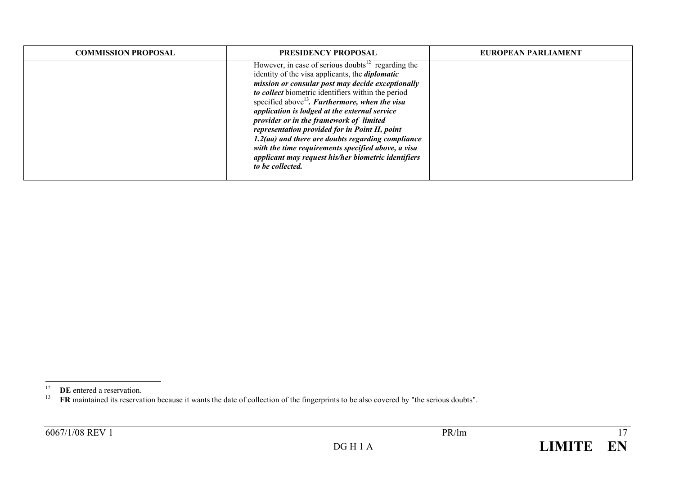| <b>COMMISSION PROPOSAL</b> | <b>PRESIDENCY PROPOSAL</b>                                                                                                                                                                                                                                                                                                                                                                                                                                                                                                                                                                                                         | EUROPEAN PARLIAMENT |
|----------------------------|------------------------------------------------------------------------------------------------------------------------------------------------------------------------------------------------------------------------------------------------------------------------------------------------------------------------------------------------------------------------------------------------------------------------------------------------------------------------------------------------------------------------------------------------------------------------------------------------------------------------------------|---------------------|
|                            | However, in case of serious doubts $^{12}$ regarding the<br>identity of the visa applicants, the <i>diplomatic</i><br>mission or consular post may decide exceptionally<br>to collect biometric identifiers within the period<br>specified above <sup>13</sup> . Furthermore, when the visa<br>application is lodged at the external service<br>provider or in the framework of limited<br>representation provided for in Point II, point<br>$1.2$ (aa) and there are doubts regarding compliance<br>with the time requirements specified above, a visa<br>applicant may request his/her biometric identifiers<br>to be collected. |                     |

<sup>&</sup>lt;sup>12</sup> **DE** entered a reservation.<br><sup>13</sup> **FR** maintained its reservation because it wants the date of collection of the fingerprints to be also covered by "the serious doubts".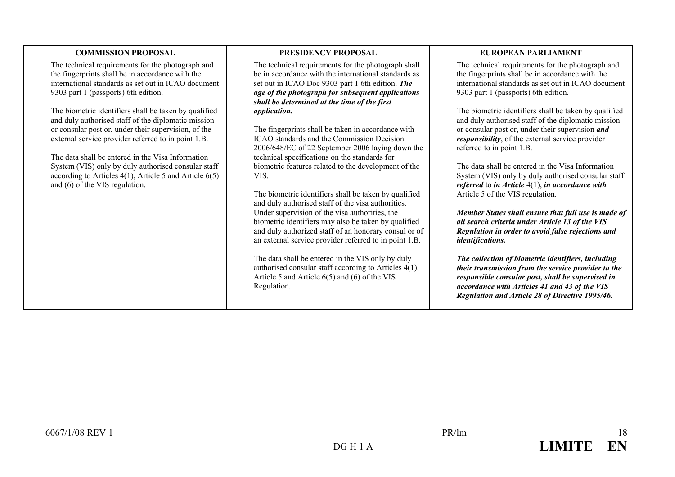| <b>COMMISSION PROPOSAL</b>                                                                                                                                                                                                  | <b>PRESIDENCY PROPOSAL</b>                                                                                                                                                                                            | EUROPEAN PARLIAMENT                                                                                                                                                                                                  |
|-----------------------------------------------------------------------------------------------------------------------------------------------------------------------------------------------------------------------------|-----------------------------------------------------------------------------------------------------------------------------------------------------------------------------------------------------------------------|----------------------------------------------------------------------------------------------------------------------------------------------------------------------------------------------------------------------|
| The technical requirements for the photograph and<br>the fingerprints shall be in accordance with the<br>international standards as set out in ICAO document<br>9303 part 1 (passports) 6th edition.                        | The technical requirements for the photograph shall<br>be in accordance with the international standards as<br>set out in ICAO Doc 9303 part 1 6th edition. The<br>age of the photograph for subsequent applications  | The technical requirements for the photograph and<br>the fingerprints shall be in accordance with the<br>international standards as set out in ICAO document<br>9303 part 1 (passports) 6th edition.                 |
| The biometric identifiers shall be taken by qualified<br>and duly authorised staff of the diplomatic mission<br>or consular post or, under their supervision, of the<br>external service provider referred to in point 1.B. | shall be determined at the time of the first<br>application.<br>The fingerprints shall be taken in accordance with<br>ICAO standards and the Commission Decision                                                      | The biometric identifiers shall be taken by qualified<br>and duly authorised staff of the diplomatic mission<br>or consular post or, under their supervision and<br>responsibility, of the external service provider |
| The data shall be entered in the Visa Information<br>System (VIS) only by duly authorised consular staff<br>according to Articles $4(1)$ , Article 5 and Article $6(5)$                                                     | 2006/648/EC of 22 September 2006 laying down the<br>technical specifications on the standards for<br>biometric features related to the development of the<br>VIS.                                                     | referred to in point 1.B.<br>The data shall be entered in the Visa Information<br>System (VIS) only by duly authorised consular staff                                                                                |
| and (6) of the VIS regulation.                                                                                                                                                                                              | The biometric identifiers shall be taken by qualified<br>and duly authorised staff of the visa authorities.<br>Under supervision of the visa authorities, the<br>biometric identifiers may also be taken by qualified | referred to in Article $4(1)$ , in accordance with<br>Article 5 of the VIS regulation.<br>Member States shall ensure that full use is made of<br>all search criteria under Article 13 of the VIS                     |
|                                                                                                                                                                                                                             | and duly authorized staff of an honorary consul or of<br>an external service provider referred to in point 1.B.<br>The data shall be entered in the VIS only by duly                                                  | Regulation in order to avoid false rejections and<br><i>identifications.</i><br>The collection of biometric identifiers, including                                                                                   |
|                                                                                                                                                                                                                             | authorised consular staff according to Articles 4(1),<br>Article 5 and Article $6(5)$ and $(6)$ of the VIS<br>Regulation.                                                                                             | their transmission from the service provider to the<br>responsible consular post, shall be supervised in<br>accordance with Articles 41 and 43 of the VIS<br>Regulation and Article 28 of Directive 1995/46.         |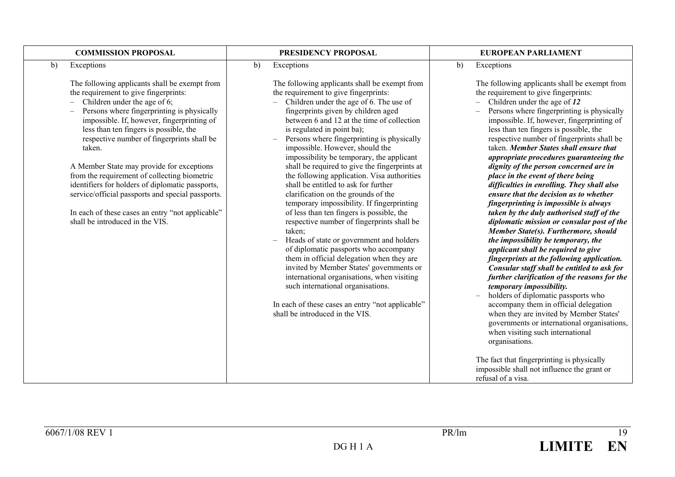| <b>COMMISSION PROPOSAL</b>                                                                                                                                                                                                                                                                                                                                                                                                                                                                                                                                                                                        | PRESIDENCY PROPOSAL                                                                                                                                                                                                                                                                                                                                                                                                                                                                                                                                                                                                                                                                                                                                                                                                                                                                                                                                                                                                                                                          | <b>EUROPEAN PARLIAMENT</b>                                                                                                                                                                                                                                                                                                                                                                                                                                                                                                                                                                                                                                                                                                                                                                                                                                                                                                                                                                                                                                                                                                                                                                                                                                                                                                                                                |
|-------------------------------------------------------------------------------------------------------------------------------------------------------------------------------------------------------------------------------------------------------------------------------------------------------------------------------------------------------------------------------------------------------------------------------------------------------------------------------------------------------------------------------------------------------------------------------------------------------------------|------------------------------------------------------------------------------------------------------------------------------------------------------------------------------------------------------------------------------------------------------------------------------------------------------------------------------------------------------------------------------------------------------------------------------------------------------------------------------------------------------------------------------------------------------------------------------------------------------------------------------------------------------------------------------------------------------------------------------------------------------------------------------------------------------------------------------------------------------------------------------------------------------------------------------------------------------------------------------------------------------------------------------------------------------------------------------|---------------------------------------------------------------------------------------------------------------------------------------------------------------------------------------------------------------------------------------------------------------------------------------------------------------------------------------------------------------------------------------------------------------------------------------------------------------------------------------------------------------------------------------------------------------------------------------------------------------------------------------------------------------------------------------------------------------------------------------------------------------------------------------------------------------------------------------------------------------------------------------------------------------------------------------------------------------------------------------------------------------------------------------------------------------------------------------------------------------------------------------------------------------------------------------------------------------------------------------------------------------------------------------------------------------------------------------------------------------------------|
| b)<br>Exceptions                                                                                                                                                                                                                                                                                                                                                                                                                                                                                                                                                                                                  | Exceptions<br>$\mathbf{b}$                                                                                                                                                                                                                                                                                                                                                                                                                                                                                                                                                                                                                                                                                                                                                                                                                                                                                                                                                                                                                                                   | b)<br>Exceptions                                                                                                                                                                                                                                                                                                                                                                                                                                                                                                                                                                                                                                                                                                                                                                                                                                                                                                                                                                                                                                                                                                                                                                                                                                                                                                                                                          |
| The following applicants shall be exempt from<br>the requirement to give fingerprints:<br>Children under the age of 6;<br>Persons where fingerprinting is physically<br>impossible. If, however, fingerprinting of<br>less than ten fingers is possible, the<br>respective number of fingerprints shall be<br>taken.<br>A Member State may provide for exceptions<br>from the requirement of collecting biometric<br>identifiers for holders of diplomatic passports,<br>service/official passports and special passports.<br>In each of these cases an entry "not applicable"<br>shall be introduced in the VIS. | The following applicants shall be exempt from<br>the requirement to give fingerprints:<br>Children under the age of 6. The use of<br>fingerprints given by children aged<br>between 6 and 12 at the time of collection<br>is regulated in point ba);<br>Persons where fingerprinting is physically<br>impossible. However, should the<br>impossibility be temporary, the applicant<br>shall be required to give the fingerprints at<br>the following application. Visa authorities<br>shall be entitled to ask for further<br>clarification on the grounds of the<br>temporary impossibility. If fingerprinting<br>of less than ten fingers is possible, the<br>respective number of fingerprints shall be<br>taken;<br>Heads of state or government and holders<br>of diplomatic passports who accompany<br>them in official delegation when they are<br>invited by Member States' governments or<br>international organisations, when visiting<br>such international organisations.<br>In each of these cases an entry "not applicable"<br>shall be introduced in the VIS. | The following applicants shall be exempt from<br>the requirement to give fingerprints:<br>Children under the age of 12<br>$\equiv$<br>Persons where fingerprinting is physically<br>impossible. If, however, fingerprinting of<br>less than ten fingers is possible, the<br>respective number of fingerprints shall be<br>taken. Member States shall ensure that<br>appropriate procedures guaranteeing the<br>dignity of the person concerned are in<br>place in the event of there being<br>difficulties in enrolling. They shall also<br>ensure that the decision as to whether<br>fingerprinting is impossible is always<br>taken by the duly authorised staff of the<br>diplomatic mission or consular post of the<br>Member State(s). Furthermore, should<br>the impossibility be temporary, the<br>applicant shall be required to give<br>fingerprints at the following application.<br>Consular staff shall be entitled to ask for<br>further clarification of the reasons for the<br>temporary impossibility.<br>holders of diplomatic passports who<br>accompany them in official delegation<br>when they are invited by Member States'<br>governments or international organisations,<br>when visiting such international<br>organisations.<br>The fact that fingerprinting is physically<br>impossible shall not influence the grant or<br>refusal of a visa. |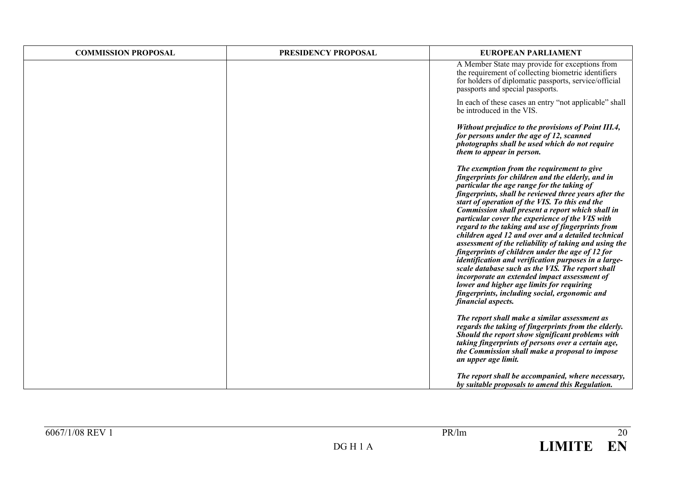| <b>COMMISSION PROPOSAL</b> | PRESIDENCY PROPOSAL | EUROPEAN PARLIAMENT                                                                                                                                                                                                                                                                                                                                                                                                                                                                                                                                                                                                                                                                                                                                                                                                                                                     |
|----------------------------|---------------------|-------------------------------------------------------------------------------------------------------------------------------------------------------------------------------------------------------------------------------------------------------------------------------------------------------------------------------------------------------------------------------------------------------------------------------------------------------------------------------------------------------------------------------------------------------------------------------------------------------------------------------------------------------------------------------------------------------------------------------------------------------------------------------------------------------------------------------------------------------------------------|
|                            |                     | A Member State may provide for exceptions from<br>the requirement of collecting biometric identifiers<br>for holders of diplomatic passports, service/official<br>passports and special passports.                                                                                                                                                                                                                                                                                                                                                                                                                                                                                                                                                                                                                                                                      |
|                            |                     | In each of these cases an entry "not applicable" shall<br>be introduced in the VIS.                                                                                                                                                                                                                                                                                                                                                                                                                                                                                                                                                                                                                                                                                                                                                                                     |
|                            |                     | Without prejudice to the provisions of Point III.4,<br>for persons under the age of 12, scanned<br>photographs shall be used which do not require<br>them to appear in person.                                                                                                                                                                                                                                                                                                                                                                                                                                                                                                                                                                                                                                                                                          |
|                            |                     | The exemption from the requirement to give<br>fingerprints for children and the elderly, and in<br>particular the age range for the taking of<br>fingerprints, shall be reviewed three years after the<br>start of operation of the VIS. To this end the<br>Commission shall present a report which shall in<br>particular cover the experience of the VIS with<br>regard to the taking and use of fingerprints from<br>children aged 12 and over and a detailed technical<br>assessment of the reliability of taking and using the<br>fingerprints of children under the age of 12 for<br>identification and verification purposes in a large-<br>scale database such as the VIS. The report shall<br>incorporate an extended impact assessment of<br>lower and higher age limits for requiring<br>fingerprints, including social, ergonomic and<br>financial aspects. |
|                            |                     | The report shall make a similar assessment as<br>regards the taking of fingerprints from the elderly.<br>Should the report show significant problems with<br>taking fingerprints of persons over a certain age,<br>the Commission shall make a proposal to impose<br>an upper age limit.                                                                                                                                                                                                                                                                                                                                                                                                                                                                                                                                                                                |
|                            |                     | The report shall be accompanied, where necessary,<br>by suitable proposals to amend this Regulation.                                                                                                                                                                                                                                                                                                                                                                                                                                                                                                                                                                                                                                                                                                                                                                    |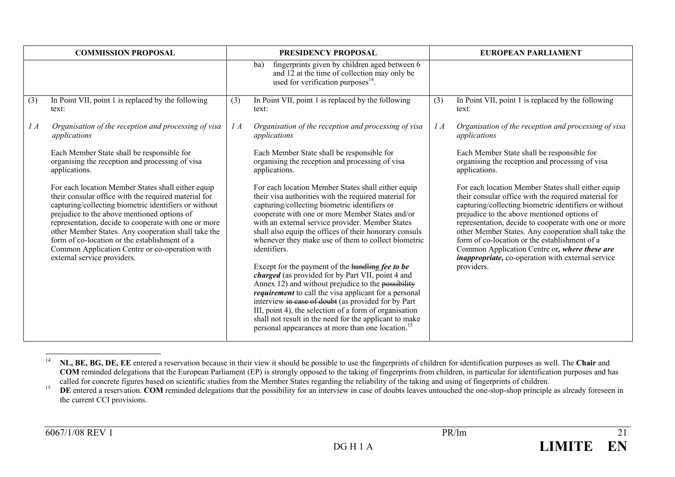|          | <b>COMMISSION PROPOSAL</b>                                                                                                                                                                                                                                                                                                                                                                                                                                          |     | PRESIDENCY PROPOSAL                                                                                                                                                                                                                                                                                                                                                                                                                                                                                                                                                                                                                                                                                                                                                                                                                                                             |           | <b>EUROPEAN PARLIAMENT</b>                                                                                                                                                                                                                                                                                                                                                                                                                                                                                     |
|----------|---------------------------------------------------------------------------------------------------------------------------------------------------------------------------------------------------------------------------------------------------------------------------------------------------------------------------------------------------------------------------------------------------------------------------------------------------------------------|-----|---------------------------------------------------------------------------------------------------------------------------------------------------------------------------------------------------------------------------------------------------------------------------------------------------------------------------------------------------------------------------------------------------------------------------------------------------------------------------------------------------------------------------------------------------------------------------------------------------------------------------------------------------------------------------------------------------------------------------------------------------------------------------------------------------------------------------------------------------------------------------------|-----------|----------------------------------------------------------------------------------------------------------------------------------------------------------------------------------------------------------------------------------------------------------------------------------------------------------------------------------------------------------------------------------------------------------------------------------------------------------------------------------------------------------------|
|          |                                                                                                                                                                                                                                                                                                                                                                                                                                                                     |     | fingerprints given by children aged between 6<br>ba)<br>and 12 at the time of collection may only be<br>used for verification purposes <sup>14</sup> .                                                                                                                                                                                                                                                                                                                                                                                                                                                                                                                                                                                                                                                                                                                          |           |                                                                                                                                                                                                                                                                                                                                                                                                                                                                                                                |
| (3)      | In Point VII, point 1 is replaced by the following<br>text:                                                                                                                                                                                                                                                                                                                                                                                                         | (3) | In Point VII, point 1 is replaced by the following<br>text:                                                                                                                                                                                                                                                                                                                                                                                                                                                                                                                                                                                                                                                                                                                                                                                                                     | (3)       | In Point VII, point 1 is replaced by the following<br>text:                                                                                                                                                                                                                                                                                                                                                                                                                                                    |
| $\int A$ | Organisation of the reception and processing of visa<br>applications                                                                                                                                                                                                                                                                                                                                                                                                | 1A  | Organisation of the reception and processing of visa<br>applications                                                                                                                                                                                                                                                                                                                                                                                                                                                                                                                                                                                                                                                                                                                                                                                                            | $\it{IA}$ | Organisation of the reception and processing of visa<br>applications                                                                                                                                                                                                                                                                                                                                                                                                                                           |
|          | Each Member State shall be responsible for<br>organising the reception and processing of visa<br>applications.                                                                                                                                                                                                                                                                                                                                                      |     | Each Member State shall be responsible for<br>organising the reception and processing of visa<br>applications.                                                                                                                                                                                                                                                                                                                                                                                                                                                                                                                                                                                                                                                                                                                                                                  |           | Each Member State shall be responsible for<br>organising the reception and processing of visa<br>applications.                                                                                                                                                                                                                                                                                                                                                                                                 |
|          | For each location Member States shall either equip<br>their consular office with the required material for<br>capturing/collecting biometric identifiers or without<br>prejudice to the above mentioned options of<br>representation, decide to cooperate with one or more<br>other Member States. Any cooperation shall take the<br>form of co-location or the establishment of a<br>Common Application Centre or co-operation with<br>external service providers. |     | For each location Member States shall either equip<br>their visa authorities with the required material for<br>capturing/collecting biometric identifiers or<br>cooperate with one or more Member States and/or<br>with an external service provider. Member States<br>shall also equip the offices of their honorary consuls<br>whenever they make use of them to collect biometric<br>identifiers.<br>Except for the payment of the handling fee to be<br>charged (as provided for by Part VII, point 4 and<br>Annex 12) and without prejudice to the possibility<br><i>requirement</i> to call the visa applicant for a personal<br>interview in case of doubt (as provided for by Part<br>III, point 4), the selection of a form of organisation<br>shall not result in the need for the applicant to make<br>personal appearances at more than one location. <sup>15</sup> |           | For each location Member States shall either equip<br>their consular office with the required material for<br>capturing/collecting biometric identifiers or without<br>prejudice to the above mentioned options of<br>representation, decide to cooperate with one or more<br>other Member States. Any cooperation shall take the<br>form of co-location or the establishment of a<br>Common Application Centre or, where these are<br><i>inappropriate</i> , co-operation with external service<br>providers. |

<sup>14</sup> **NL, BE, BG, DE, EE** entered a reservation because in their view it should be possible to use the fingerprints of children for identification purposes as well. The **Chair** and **COM** reminded delegations that the European Parliament (EP) is strongly opposed to the taking of fingerprints from children, in particular for identification purposes and has called for concrete figures based on scientific studies from the Member States regarding the reliability of the taking and using of fingerprints of children.

<sup>15</sup>DE entered a reservation. COM reminded delegations that the possibility for an interview in case of doubts leaves untouched the one-stop-shop principle as already foreseen in the current CCI provisions.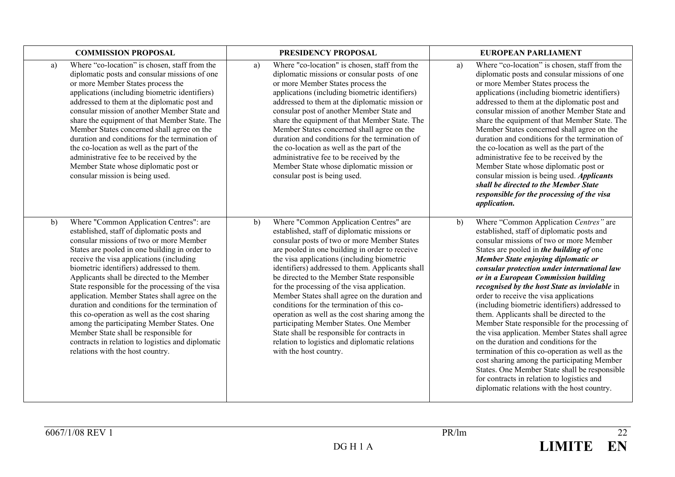| <b>COMMISSION PROPOSAL</b>                                                                                                                                                                                                                                                                                                                                                                                                                                                                                                                                                                                                                                                                                             | PRESIDENCY PROPOSAL                                                                                                                                                                                                                                                                                                                                                                                                                                                                                                                                                                                                                                                                                                   | <b>EUROPEAN PARLIAMENT</b>                                                                                                                                                                                                                                                                                                                                                                                                                                                                                                                                                                                                                                                                                                                                                                                                                                                                               |
|------------------------------------------------------------------------------------------------------------------------------------------------------------------------------------------------------------------------------------------------------------------------------------------------------------------------------------------------------------------------------------------------------------------------------------------------------------------------------------------------------------------------------------------------------------------------------------------------------------------------------------------------------------------------------------------------------------------------|-----------------------------------------------------------------------------------------------------------------------------------------------------------------------------------------------------------------------------------------------------------------------------------------------------------------------------------------------------------------------------------------------------------------------------------------------------------------------------------------------------------------------------------------------------------------------------------------------------------------------------------------------------------------------------------------------------------------------|----------------------------------------------------------------------------------------------------------------------------------------------------------------------------------------------------------------------------------------------------------------------------------------------------------------------------------------------------------------------------------------------------------------------------------------------------------------------------------------------------------------------------------------------------------------------------------------------------------------------------------------------------------------------------------------------------------------------------------------------------------------------------------------------------------------------------------------------------------------------------------------------------------|
| Where "co-location" is chosen, staff from the<br>a)<br>diplomatic posts and consular missions of one<br>or more Member States process the<br>applications (including biometric identifiers)<br>addressed to them at the diplomatic post and<br>consular mission of another Member State and<br>share the equipment of that Member State. The<br>Member States concerned shall agree on the<br>duration and conditions for the termination of<br>the co-location as well as the part of the<br>administrative fee to be received by the<br>Member State whose diplomatic post or<br>consular mission is being used.                                                                                                     | Where "co-location" is chosen, staff from the<br>a)<br>diplomatic missions or consular posts of one<br>or more Member States process the<br>applications (including biometric identifiers)<br>addressed to them at the diplomatic mission or<br>consular post of another Member State and<br>share the equipment of that Member State. The<br>Member States concerned shall agree on the<br>duration and conditions for the termination of<br>the co-location as well as the part of the<br>administrative fee to be received by the<br>Member State whose diplomatic mission or<br>consular post is being used.                                                                                                      | Where "co-location" is chosen, staff from the<br>a)<br>diplomatic posts and consular missions of one<br>or more Member States process the<br>applications (including biometric identifiers)<br>addressed to them at the diplomatic post and<br>consular mission of another Member State and<br>share the equipment of that Member State. The<br>Member States concerned shall agree on the<br>duration and conditions for the termination of<br>the co-location as well as the part of the<br>administrative fee to be received by the<br>Member State whose diplomatic post or<br>consular mission is being used. <i>Applicants</i><br>shall be directed to the Member State<br>responsible for the processing of the visa<br><i>application.</i>                                                                                                                                                       |
| Where "Common Application Centres": are<br>b)<br>established, staff of diplomatic posts and<br>consular missions of two or more Member<br>States are pooled in one building in order to<br>receive the visa applications (including<br>biometric identifiers) addressed to them.<br>Applicants shall be directed to the Member<br>State responsible for the processing of the visa<br>application. Member States shall agree on the<br>duration and conditions for the termination of<br>this co-operation as well as the cost sharing<br>among the participating Member States. One<br>Member State shall be responsible for<br>contracts in relation to logistics and diplomatic<br>relations with the host country. | Where "Common Application Centres" are<br>b)<br>established, staff of diplomatic missions or<br>consular posts of two or more Member States<br>are pooled in one building in order to receive<br>the visa applications (including biometric<br>identifiers) addressed to them. Applicants shall<br>be directed to the Member State responsible<br>for the processing of the visa application.<br>Member States shall agree on the duration and<br>conditions for the termination of this co-<br>operation as well as the cost sharing among the<br>participating Member States. One Member<br>State shall be responsible for contracts in<br>relation to logistics and diplomatic relations<br>with the host country. | Where "Common Application Centres" are<br>b)<br>established, staff of diplomatic posts and<br>consular missions of two or more Member<br>States are pooled in the building of one<br>Member State enjoying diplomatic or<br>consular protection under international law<br>or in a European Commission building<br>recognised by the host State as inviolable in<br>order to receive the visa applications<br>(including biometric identifiers) addressed to<br>them. Applicants shall be directed to the<br>Member State responsible for the processing of<br>the visa application. Member States shall agree<br>on the duration and conditions for the<br>termination of this co-operation as well as the<br>cost sharing among the participating Member<br>States. One Member State shall be responsible<br>for contracts in relation to logistics and<br>diplomatic relations with the host country. |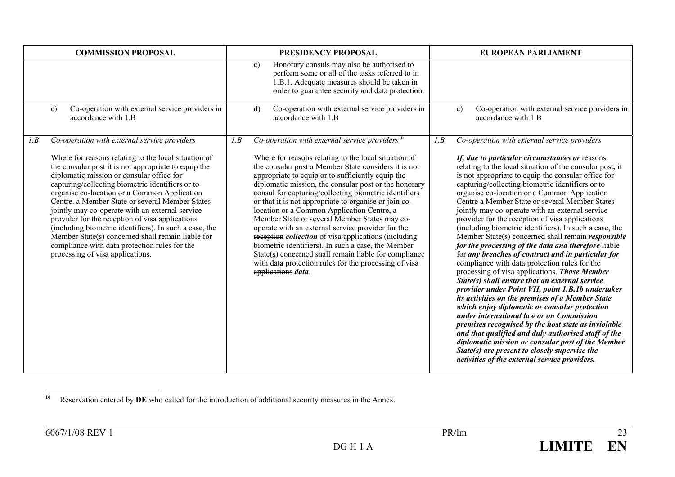| <b>COMMISSION PROPOSAL</b>                                                                                                                                                                                                                                                                                                                                                                                                                                                                                                                                                                                                                                                        | PRESIDENCY PROPOSAL                                                                                                                                                                                                                                                                                                                                                                                                                                                                                                                                                                                                                                                                                                                                                                                                                | <b>EUROPEAN PARLIAMENT</b>                                                                                                                                                                                                                                                                                                                                                                                                                                                                                                                                                                                                                                                                                                                                                                                                                                                                                                                                                                                                                                                                                                                                                                                                                                                                                                                              |
|-----------------------------------------------------------------------------------------------------------------------------------------------------------------------------------------------------------------------------------------------------------------------------------------------------------------------------------------------------------------------------------------------------------------------------------------------------------------------------------------------------------------------------------------------------------------------------------------------------------------------------------------------------------------------------------|------------------------------------------------------------------------------------------------------------------------------------------------------------------------------------------------------------------------------------------------------------------------------------------------------------------------------------------------------------------------------------------------------------------------------------------------------------------------------------------------------------------------------------------------------------------------------------------------------------------------------------------------------------------------------------------------------------------------------------------------------------------------------------------------------------------------------------|---------------------------------------------------------------------------------------------------------------------------------------------------------------------------------------------------------------------------------------------------------------------------------------------------------------------------------------------------------------------------------------------------------------------------------------------------------------------------------------------------------------------------------------------------------------------------------------------------------------------------------------------------------------------------------------------------------------------------------------------------------------------------------------------------------------------------------------------------------------------------------------------------------------------------------------------------------------------------------------------------------------------------------------------------------------------------------------------------------------------------------------------------------------------------------------------------------------------------------------------------------------------------------------------------------------------------------------------------------|
|                                                                                                                                                                                                                                                                                                                                                                                                                                                                                                                                                                                                                                                                                   | Honorary consuls may also be authorised to<br>c)<br>perform some or all of the tasks referred to in<br>1.B.1. Adequate measures should be taken in<br>order to guarantee security and data protection.                                                                                                                                                                                                                                                                                                                                                                                                                                                                                                                                                                                                                             |                                                                                                                                                                                                                                                                                                                                                                                                                                                                                                                                                                                                                                                                                                                                                                                                                                                                                                                                                                                                                                                                                                                                                                                                                                                                                                                                                         |
| Co-operation with external service providers in<br>c)<br>accordance with 1.B                                                                                                                                                                                                                                                                                                                                                                                                                                                                                                                                                                                                      | Co-operation with external service providers in<br>d)<br>accordance with 1.B                                                                                                                                                                                                                                                                                                                                                                                                                                                                                                                                                                                                                                                                                                                                                       | Co-operation with external service providers in<br>c)<br>accordance with 1.B                                                                                                                                                                                                                                                                                                                                                                                                                                                                                                                                                                                                                                                                                                                                                                                                                                                                                                                                                                                                                                                                                                                                                                                                                                                                            |
| Co-operation with external service providers<br>1.B<br>Where for reasons relating to the local situation of<br>the consular post it is not appropriate to equip the<br>diplomatic mission or consular office for<br>capturing/collecting biometric identifiers or to<br>organise co-location or a Common Application<br>Centre, a Member State or several Member States<br>jointly may co-operate with an external service<br>provider for the reception of visa applications<br>(including biometric identifiers). In such a case, the<br>Member State(s) concerned shall remain liable for<br>compliance with data protection rules for the<br>processing of visa applications. | Co-operation with external service providers <sup>16</sup><br>I.B<br>Where for reasons relating to the local situation of<br>the consular post a Member State considers it is not<br>appropriate to equip or to sufficiently equip the<br>diplomatic mission, the consular post or the honorary<br>consul for capturing/collecting biometric identifiers<br>or that it is not appropriate to organise or join co-<br>location or a Common Application Centre, a<br>Member State or several Member States may co-<br>operate with an external service provider for the<br>reception <i>collection</i> of visa applications (including<br>biometric identifiers). In such a case, the Member<br>State(s) concerned shall remain liable for compliance<br>with data protection rules for the processing of visa<br>applications data. | Co-operation with external service providers<br>1.B<br>If, due to particular circumstances or reasons<br>relating to the local situation of the consular post, it<br>is not appropriate to equip the consular office for<br>capturing/collecting biometric identifiers or to<br>organise co-location or a Common Application<br>Centre a Member State or several Member States<br>jointly may co-operate with an external service<br>provider for the reception of visa applications<br>(including biometric identifiers). In such a case, the<br>Member State(s) concerned shall remain <i>responsible</i><br>for the processing of the data and therefore liable<br>for any breaches of contract and in particular for<br>compliance with data protection rules for the<br>processing of visa applications. Those Member<br>State(s) shall ensure that an external service<br>provider under Point VII, point 1.B.1b undertakes<br>its activities on the premises of a Member State<br>which enjoy diplomatic or consular protection<br>under international law or on Commission<br>premises recognised by the host state as inviolable<br>and that qualified and duly authorised staff of the<br>diplomatic mission or consular post of the Member<br>State(s) are present to closely supervise the<br>activities of the external service providers. |

**<sup>16</sup>**Reservation entered by **DE** who called for the introduction of additional security measures in the Annex.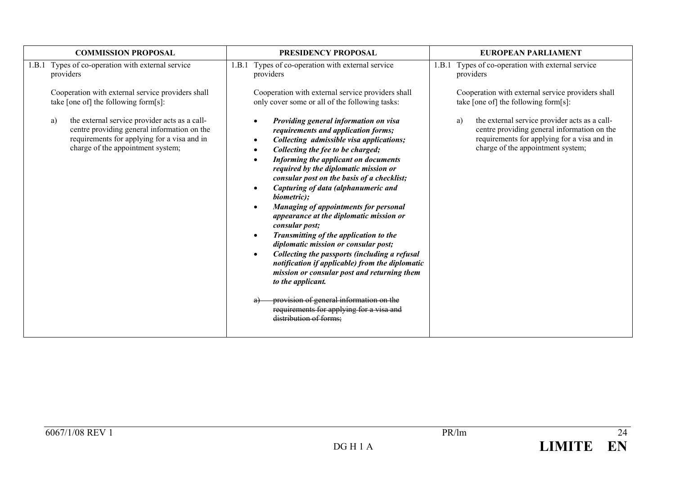| <b>COMMISSION PROPOSAL</b>                                                                                                                                                             | PRESIDENCY PROPOSAL                                                                                                                                                                                                                                                                                                                                                                                                                                                                                                                                                                                                                                                                                                                                                                                                                                                                                                            | <b>EUROPEAN PARLIAMENT</b>                                                                                                                                                             |
|----------------------------------------------------------------------------------------------------------------------------------------------------------------------------------------|--------------------------------------------------------------------------------------------------------------------------------------------------------------------------------------------------------------------------------------------------------------------------------------------------------------------------------------------------------------------------------------------------------------------------------------------------------------------------------------------------------------------------------------------------------------------------------------------------------------------------------------------------------------------------------------------------------------------------------------------------------------------------------------------------------------------------------------------------------------------------------------------------------------------------------|----------------------------------------------------------------------------------------------------------------------------------------------------------------------------------------|
| Types of co-operation with external service                                                                                                                                            | Types of co-operation with external service                                                                                                                                                                                                                                                                                                                                                                                                                                                                                                                                                                                                                                                                                                                                                                                                                                                                                    | Types of co-operation with external service                                                                                                                                            |
| 1.B.1                                                                                                                                                                                  | 1.B.1                                                                                                                                                                                                                                                                                                                                                                                                                                                                                                                                                                                                                                                                                                                                                                                                                                                                                                                          | 1.B.1                                                                                                                                                                                  |
| providers                                                                                                                                                                              | providers                                                                                                                                                                                                                                                                                                                                                                                                                                                                                                                                                                                                                                                                                                                                                                                                                                                                                                                      | providers                                                                                                                                                                              |
| Cooperation with external service providers shall                                                                                                                                      | Cooperation with external service providers shall                                                                                                                                                                                                                                                                                                                                                                                                                                                                                                                                                                                                                                                                                                                                                                                                                                                                              | Cooperation with external service providers shall                                                                                                                                      |
| take [one of] the following form[s]:                                                                                                                                                   | only cover some or all of the following tasks:                                                                                                                                                                                                                                                                                                                                                                                                                                                                                                                                                                                                                                                                                                                                                                                                                                                                                 | take [one of] the following form[s]:                                                                                                                                                   |
| the external service provider acts as a call-<br>a)<br>centre providing general information on the<br>requirements for applying for a visa and in<br>charge of the appointment system; | Providing general information on visa<br>$\bullet$<br>requirements and application forms;<br>Collecting admissible visa applications;<br>$\bullet$<br>Collecting the fee to be charged;<br>Informing the applicant on documents<br>$\bullet$<br>required by the diplomatic mission or<br>consular post on the basis of a checklist;<br>Capturing of data (alphanumeric and<br>$\bullet$<br>biometric);<br>Managing of appointments for personal<br>$\bullet$<br>appearance at the diplomatic mission or<br>consular post;<br>Transmitting of the application to the<br>$\bullet$<br>diplomatic mission or consular post;<br>Collecting the passports (including a refusal<br>$\bullet$<br>notification if applicable) from the diplomatic<br>mission or consular post and returning them<br>to the applicant.<br>provision of general information on the<br>requirements for applying for a visa and<br>distribution of forms; | the external service provider acts as a call-<br>a)<br>centre providing general information on the<br>requirements for applying for a visa and in<br>charge of the appointment system; |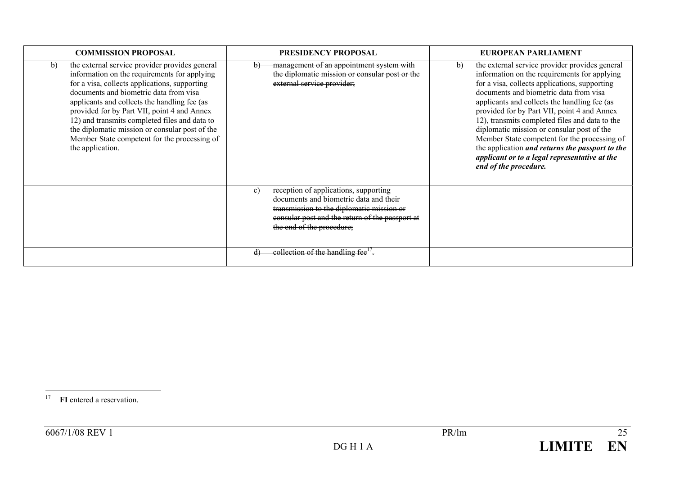| <b>COMMISSION PROPOSAL</b>                                                                                                                                                                                                                                                                                                                                                                                                                                            | <b>PRESIDENCY PROPOSAL</b>                                                                                                                                                                                        | EUROPEAN PARLIAMENT                                                                                                                                                                                                                                                                                                                                                                                                                                                                                                                                                                |
|-----------------------------------------------------------------------------------------------------------------------------------------------------------------------------------------------------------------------------------------------------------------------------------------------------------------------------------------------------------------------------------------------------------------------------------------------------------------------|-------------------------------------------------------------------------------------------------------------------------------------------------------------------------------------------------------------------|------------------------------------------------------------------------------------------------------------------------------------------------------------------------------------------------------------------------------------------------------------------------------------------------------------------------------------------------------------------------------------------------------------------------------------------------------------------------------------------------------------------------------------------------------------------------------------|
| the external service provider provides general<br>b)<br>information on the requirements for applying<br>for a visa, collects applications, supporting<br>documents and biometric data from visa<br>applicants and collects the handling fee (as<br>provided for by Part VII, point 4 and Annex<br>12) and transmits completed files and data to<br>the diplomatic mission or consular post of the<br>Member State competent for the processing of<br>the application. | management of an appointment system with<br>$\mathbf{b}$<br>the diplomatic mission or consular post or the<br>external service provider;                                                                          | the external service provider provides general<br>b)<br>information on the requirements for applying<br>for a visa, collects applications, supporting<br>documents and biometric data from visa<br>applicants and collects the handling fee (as<br>provided for by Part VII, point 4 and Annex<br>12), transmits completed files and data to the<br>diplomatic mission or consular post of the<br>Member State competent for the processing of<br>the application <i>and returns the passport to the</i><br>applicant or to a legal representative at the<br>end of the procedure. |
|                                                                                                                                                                                                                                                                                                                                                                                                                                                                       | reception of applications, supporting<br>e<br>documents and biometric data and their<br>transmission to the diplomatic mission or<br>consular post and the return of the passport at<br>the end of the procedure; |                                                                                                                                                                                                                                                                                                                                                                                                                                                                                                                                                                                    |
|                                                                                                                                                                                                                                                                                                                                                                                                                                                                       | eollection of the handling fee <sup><math>H</math></sup> .                                                                                                                                                        |                                                                                                                                                                                                                                                                                                                                                                                                                                                                                                                                                                                    |

<sup>17</sup> FI entered a reservation.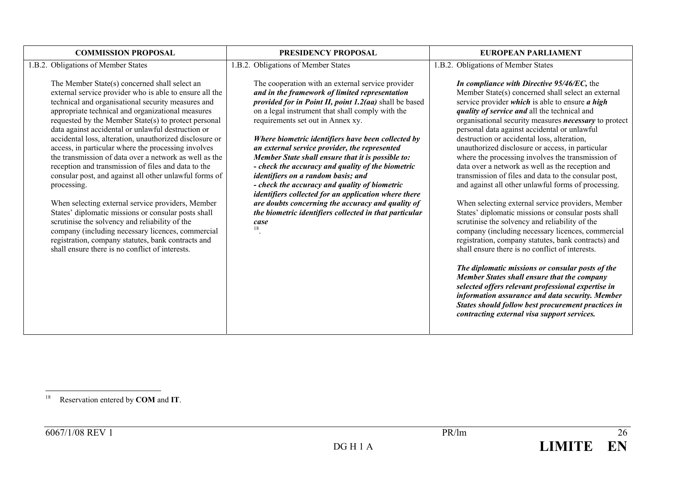| 1.B.2. Obligations of Member States<br>1.B.2. Obligations of Member States<br>1.B.2. Obligations of Member States<br>The Member State(s) concerned shall select an<br>The cooperation with an external service provider<br>In compliance with Directive 95/46/EC, the<br>external service provider who is able to ensure all the<br>and in the framework of limited representation<br>technical and organisational security measures and<br>provided for in Point II, point 1.2(aa) shall be based<br>service provider <i>which</i> is able to ensure $\boldsymbol{a}$ high<br>on a legal instrument that shall comply with the<br>appropriate technical and organizational measures<br>quality of service and all the technical and<br>requirements set out in Annex xy.<br>requested by the Member State(s) to protect personal<br>personal data against accidental or unlawful<br>data against accidental or unlawful destruction or<br>accidental loss, alteration, unauthorized disclosure or<br>destruction or accidental loss, alteration,<br>Where biometric identifiers have been collected by<br>access, in particular where the processing involves<br>an external service provider, the represented<br>unauthorized disclosure or access, in particular<br>the transmission of data over a network as well as the<br>Member State shall ensure that it is possible to: | <b>COMMISSION PROPOSAL</b>                          | PRESIDENCY PROPOSAL                               | EUROPEAN PARLIAMENT                                                                                                                                                                                                                                                                                                                                                                                                                                                                                                                                                                                                                                                         |  |  |
|------------------------------------------------------------------------------------------------------------------------------------------------------------------------------------------------------------------------------------------------------------------------------------------------------------------------------------------------------------------------------------------------------------------------------------------------------------------------------------------------------------------------------------------------------------------------------------------------------------------------------------------------------------------------------------------------------------------------------------------------------------------------------------------------------------------------------------------------------------------------------------------------------------------------------------------------------------------------------------------------------------------------------------------------------------------------------------------------------------------------------------------------------------------------------------------------------------------------------------------------------------------------------------------------------------------------------------------------------------------------------------|-----------------------------------------------------|---------------------------------------------------|-----------------------------------------------------------------------------------------------------------------------------------------------------------------------------------------------------------------------------------------------------------------------------------------------------------------------------------------------------------------------------------------------------------------------------------------------------------------------------------------------------------------------------------------------------------------------------------------------------------------------------------------------------------------------------|--|--|
|                                                                                                                                                                                                                                                                                                                                                                                                                                                                                                                                                                                                                                                                                                                                                                                                                                                                                                                                                                                                                                                                                                                                                                                                                                                                                                                                                                                    |                                                     |                                                   |                                                                                                                                                                                                                                                                                                                                                                                                                                                                                                                                                                                                                                                                             |  |  |
| consular post, and against all other unlawful forms of<br>identifiers on a random basis; and<br>- check the accuracy and quality of biometric<br>processing.<br>identifiers collected for an application where there<br>When selecting external service providers, Member<br>are doubts concerning the accuracy and quality of<br>States' diplomatic missions or consular posts shall<br>the biometric identifiers collected in that particular<br>scrutinise the solvency and reliability of the<br>scrutinise the solvency and reliability of the<br>case<br>18<br>company (including necessary licences, commercial<br>registration, company statutes, bank contracts and<br>shall ensure there is no conflict of interests.<br>shall ensure there is no conflict of interests.<br>The diplomatic missions or consular posts of the<br><b>Member States shall ensure that the company</b><br>selected offers relevant professional expertise in<br>contracting external visa support services.                                                                                                                                                                                                                                                                                                                                                                                  | reception and transmission of files and data to the | - check the accuracy and quality of the biometric | Member State(s) concerned shall select an external<br>organisational security measures <i>necessary</i> to protect<br>where the processing involves the transmission of<br>data over a network as well as the reception and<br>transmission of files and data to the consular post,<br>and against all other unlawful forms of processing.<br>When selecting external service providers, Member<br>States' diplomatic missions or consular posts shall<br>company (including necessary licences, commercial<br>registration, company statutes, bank contracts) and<br>information assurance and data security. Member<br>States should follow best procurement practices in |  |  |

<sup>18</sup> Reservation entered by **COM** and **IT**.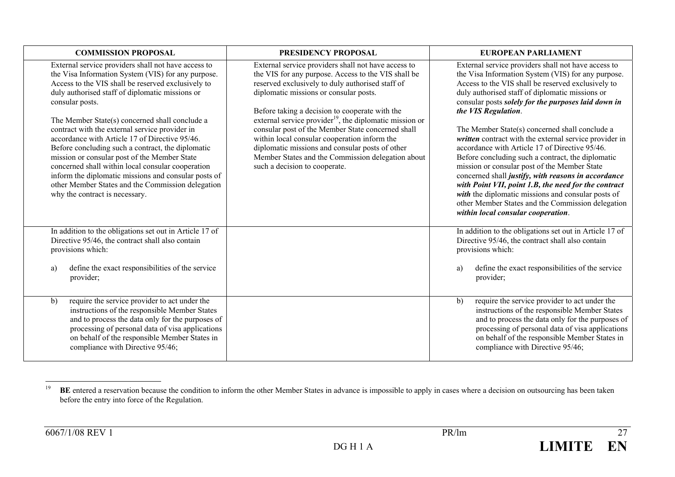| <b>COMMISSION PROPOSAL</b>                                                                                                                                                                                                                                                                                                                                                                                                                                                                                                                                                                                                                                                                           | PRESIDENCY PROPOSAL                                                                                                                                                                                                                                                                                                                                                                                                                                                                                                                                                             | EUROPEAN PARLIAMENT                                                                                                                                                                                                                                                                                                                                                                                                                                                                                                                                                                                                                                                                                                                                                                                                                 |
|------------------------------------------------------------------------------------------------------------------------------------------------------------------------------------------------------------------------------------------------------------------------------------------------------------------------------------------------------------------------------------------------------------------------------------------------------------------------------------------------------------------------------------------------------------------------------------------------------------------------------------------------------------------------------------------------------|---------------------------------------------------------------------------------------------------------------------------------------------------------------------------------------------------------------------------------------------------------------------------------------------------------------------------------------------------------------------------------------------------------------------------------------------------------------------------------------------------------------------------------------------------------------------------------|-------------------------------------------------------------------------------------------------------------------------------------------------------------------------------------------------------------------------------------------------------------------------------------------------------------------------------------------------------------------------------------------------------------------------------------------------------------------------------------------------------------------------------------------------------------------------------------------------------------------------------------------------------------------------------------------------------------------------------------------------------------------------------------------------------------------------------------|
| External service providers shall not have access to<br>the Visa Information System (VIS) for any purpose.<br>Access to the VIS shall be reserved exclusively to<br>duly authorised staff of diplomatic missions or<br>consular posts.<br>The Member State(s) concerned shall conclude a<br>contract with the external service provider in<br>accordance with Article 17 of Directive 95/46.<br>Before concluding such a contract, the diplomatic<br>mission or consular post of the Member State<br>concerned shall within local consular cooperation<br>inform the diplomatic missions and consular posts of<br>other Member States and the Commission delegation<br>why the contract is necessary. | External service providers shall not have access to<br>the VIS for any purpose. Access to the VIS shall be<br>reserved exclusively to duly authorised staff of<br>diplomatic missions or consular posts.<br>Before taking a decision to cooperate with the<br>external service provider <sup>19</sup> , the diplomatic mission or<br>consular post of the Member State concerned shall<br>within local consular cooperation inform the<br>diplomatic missions and consular posts of other<br>Member States and the Commission delegation about<br>such a decision to cooperate. | External service providers shall not have access to<br>the Visa Information System (VIS) for any purpose.<br>Access to the VIS shall be reserved exclusively to<br>duly authorised staff of diplomatic missions or<br>consular posts solely for the purposes laid down in<br>the VIS Regulation.<br>The Member State(s) concerned shall conclude a<br>written contract with the external service provider in<br>accordance with Article 17 of Directive 95/46.<br>Before concluding such a contract, the diplomatic<br>mission or consular post of the Member State<br>concerned shall justify, with reasons in accordance<br>with Point VII, point 1.B, the need for the contract<br>with the diplomatic missions and consular posts of<br>other Member States and the Commission delegation<br>within local consular cooperation. |
| In addition to the obligations set out in Article 17 of<br>Directive 95/46, the contract shall also contain<br>provisions which:<br>define the exact responsibilities of the service<br>a)<br>provider;                                                                                                                                                                                                                                                                                                                                                                                                                                                                                              |                                                                                                                                                                                                                                                                                                                                                                                                                                                                                                                                                                                 | In addition to the obligations set out in Article 17 of<br>Directive 95/46, the contract shall also contain<br>provisions which:<br>define the exact responsibilities of the service<br>a)<br>provider;                                                                                                                                                                                                                                                                                                                                                                                                                                                                                                                                                                                                                             |
| require the service provider to act under the<br>b)<br>instructions of the responsible Member States<br>and to process the data only for the purposes of<br>processing of personal data of visa applications<br>on behalf of the responsible Member States in<br>compliance with Directive 95/46;                                                                                                                                                                                                                                                                                                                                                                                                    |                                                                                                                                                                                                                                                                                                                                                                                                                                                                                                                                                                                 | b)<br>require the service provider to act under the<br>instructions of the responsible Member States<br>and to process the data only for the purposes of<br>processing of personal data of visa applications<br>on behalf of the responsible Member States in<br>compliance with Directive 95/46;                                                                                                                                                                                                                                                                                                                                                                                                                                                                                                                                   |

<sup>19</sup>**BE** entered a reservation because the condition to inform the other Member States in advance is impossible to apply in cases where a decision on outsourcing has been taken before the entry into force of the Regulation.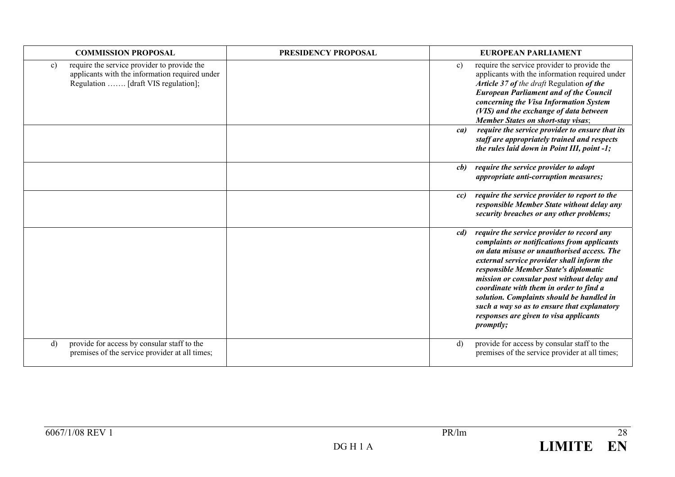| <b>COMMISSION PROPOSAL</b>                                                                                                                           | PRESIDENCY PROPOSAL | <b>EUROPEAN PARLIAMENT</b>                                                                                                                                                                                                                                                                                                                                                                                                                                                               |
|------------------------------------------------------------------------------------------------------------------------------------------------------|---------------------|------------------------------------------------------------------------------------------------------------------------------------------------------------------------------------------------------------------------------------------------------------------------------------------------------------------------------------------------------------------------------------------------------------------------------------------------------------------------------------------|
| require the service provider to provide the<br>$\mathbf{c}$<br>applicants with the information required under<br>Regulation  [draft VIS regulation]; |                     | require the service provider to provide the<br>$\mathbf{c}$<br>applicants with the information required under<br>Article 37 of the draft Regulation of the<br><b>European Parliament and of the Council</b><br>concerning the Visa Information System<br>(VIS) and the exchange of data between<br><b>Member States on short-stay visas;</b>                                                                                                                                             |
|                                                                                                                                                      |                     | require the service provider to ensure that its<br>ca)<br>staff are appropriately trained and respects<br>the rules laid down in Point III, point -1;                                                                                                                                                                                                                                                                                                                                    |
|                                                                                                                                                      |                     | require the service provider to adopt<br>cb)<br>appropriate anti-corruption measures;                                                                                                                                                                                                                                                                                                                                                                                                    |
|                                                                                                                                                      |                     | require the service provider to report to the<br>cc)<br>responsible Member State without delay any<br>security breaches or any other problems;                                                                                                                                                                                                                                                                                                                                           |
|                                                                                                                                                      |                     | require the service provider to record any<br>cd)<br>complaints or notifications from applicants<br>on data misuse or unauthorised access. The<br>external service provider shall inform the<br>responsible Member State's diplomatic<br>mission or consular post without delay and<br>coordinate with them in order to find a<br>solution. Complaints should be handled in<br>such a way so as to ensure that explanatory<br>responses are given to visa applicants<br><i>promptly;</i> |
| provide for access by consular staff to the<br>$\mathbf{d}$<br>premises of the service provider at all times;                                        |                     | provide for access by consular staff to the<br>$\mathbf{d}$<br>premises of the service provider at all times;                                                                                                                                                                                                                                                                                                                                                                            |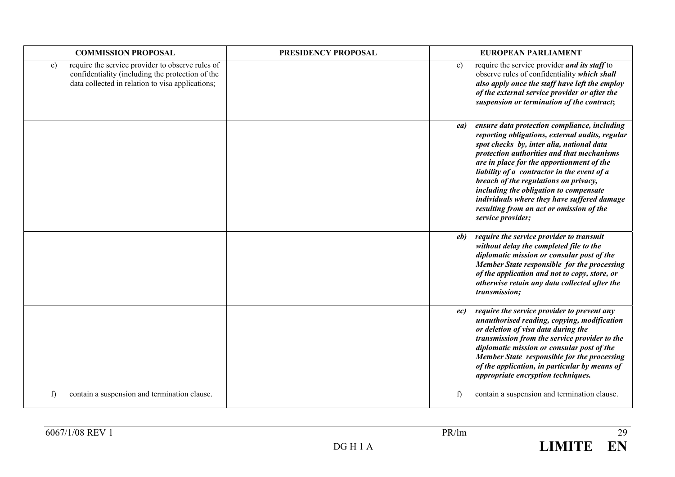| <b>COMMISSION PROPOSAL</b>                                                                                                                                     | PRESIDENCY PROPOSAL | <b>EUROPEAN PARLIAMENT</b>                                                                                                                                                                                                                                                                                                                                                                                                                                                                       |
|----------------------------------------------------------------------------------------------------------------------------------------------------------------|---------------------|--------------------------------------------------------------------------------------------------------------------------------------------------------------------------------------------------------------------------------------------------------------------------------------------------------------------------------------------------------------------------------------------------------------------------------------------------------------------------------------------------|
| require the service provider to observe rules of<br>e)<br>confidentiality (including the protection of the<br>data collected in relation to visa applications; |                     | require the service provider and its staff to<br>e)<br>observe rules of confidentiality which shall<br>also apply once the staff have left the employ<br>of the external service provider or after the<br>suspension or termination of the contract;                                                                                                                                                                                                                                             |
|                                                                                                                                                                |                     | ensure data protection compliance, including<br>ea)<br>reporting obligations, external audits, regular<br>spot checks by, inter alia, national data<br>protection authorities and that mechanisms<br>are in place for the apportionment of the<br>liability of a contractor in the event of a<br>breach of the regulations on privacy,<br>including the obligation to compensate<br>individuals where they have suffered damage<br>resulting from an act or omission of the<br>service provider; |
|                                                                                                                                                                |                     | require the service provider to transmit<br>eb)<br>without delay the completed file to the<br>diplomatic mission or consular post of the<br>Member State responsible for the processing<br>of the application and not to copy, store, or<br>otherwise retain any data collected after the<br>transmission;                                                                                                                                                                                       |
|                                                                                                                                                                |                     | require the service provider to prevent any<br>ec)<br>unauthorised reading, copying, modification<br>or deletion of visa data during the<br>transmission from the service provider to the<br>diplomatic mission or consular post of the<br>Member State responsible for the processing<br>of the application, in particular by means of<br>appropriate encryption techniques.                                                                                                                    |
| contain a suspension and termination clause.<br>f)                                                                                                             |                     | f<br>contain a suspension and termination clause.                                                                                                                                                                                                                                                                                                                                                                                                                                                |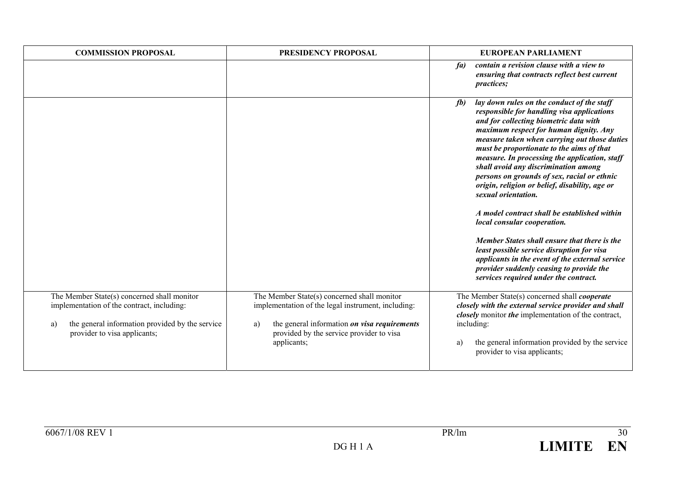| <b>COMMISSION PROPOSAL</b>                                                                                                                                                         | PRESIDENCY PROPOSAL                                                                                                                                                                                                | EUROPEAN PARLIAMENT                                                                                                                                                                                                                                                                                                                                                                                                                                                                                                                                                                                                                                                                                                                                                                                                    |
|------------------------------------------------------------------------------------------------------------------------------------------------------------------------------------|--------------------------------------------------------------------------------------------------------------------------------------------------------------------------------------------------------------------|------------------------------------------------------------------------------------------------------------------------------------------------------------------------------------------------------------------------------------------------------------------------------------------------------------------------------------------------------------------------------------------------------------------------------------------------------------------------------------------------------------------------------------------------------------------------------------------------------------------------------------------------------------------------------------------------------------------------------------------------------------------------------------------------------------------------|
|                                                                                                                                                                                    |                                                                                                                                                                                                                    | contain a revision clause with a view to<br>fa)<br>ensuring that contracts reflect best current<br><i>practices;</i>                                                                                                                                                                                                                                                                                                                                                                                                                                                                                                                                                                                                                                                                                                   |
|                                                                                                                                                                                    |                                                                                                                                                                                                                    | lay down rules on the conduct of the staff<br>fb)<br>responsible for handling visa applications<br>and for collecting biometric data with<br>maximum respect for human dignity. Any<br>measure taken when carrying out those duties<br>must be proportionate to the aims of that<br>measure. In processing the application, staff<br>shall avoid any discrimination among<br>persons on grounds of sex, racial or ethnic<br>origin, religion or belief, disability, age or<br>sexual orientation.<br>A model contract shall be established within<br>local consular cooperation.<br>Member States shall ensure that there is the<br>least possible service disruption for visa<br>applicants in the event of the external service<br>provider suddenly ceasing to provide the<br>services required under the contract. |
| The Member State(s) concerned shall monitor<br>implementation of the contract, including:<br>the general information provided by the service<br>a)<br>provider to visa applicants; | The Member State(s) concerned shall monitor<br>implementation of the legal instrument, including:<br>the general information on visa requirements<br>a)<br>provided by the service provider to visa<br>applicants; | The Member State(s) concerned shall <i>cooperate</i><br>closely with the external service provider and shall<br>closely monitor the implementation of the contract,<br>including:<br>the general information provided by the service<br>a)<br>provider to visa applicants;                                                                                                                                                                                                                                                                                                                                                                                                                                                                                                                                             |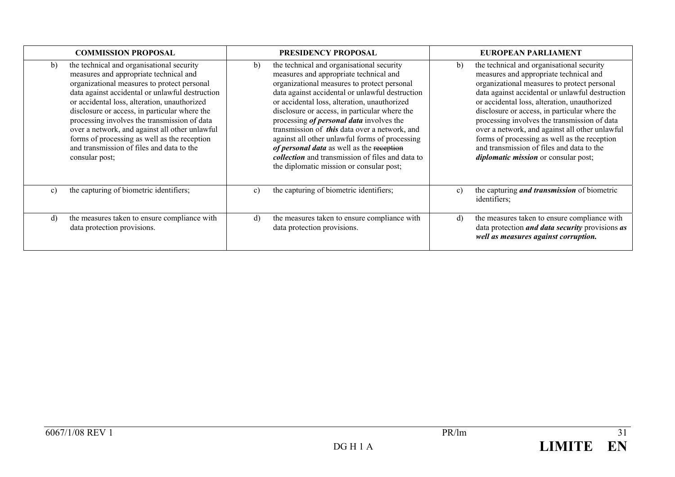| <b>COMMISSION PROPOSAL</b>                                                                                                                                                                                                                                                                                                                                                                                                                                                                                    | <b>PRESIDENCY PROPOSAL</b>                                                                                                                                                                                                                                                                                                                                                                                                                                                                                                                                                                                    | EUROPEAN PARLIAMENT                                                                                                                                                                                                                                                                                                                                                                                                                                                                                                                        |
|---------------------------------------------------------------------------------------------------------------------------------------------------------------------------------------------------------------------------------------------------------------------------------------------------------------------------------------------------------------------------------------------------------------------------------------------------------------------------------------------------------------|---------------------------------------------------------------------------------------------------------------------------------------------------------------------------------------------------------------------------------------------------------------------------------------------------------------------------------------------------------------------------------------------------------------------------------------------------------------------------------------------------------------------------------------------------------------------------------------------------------------|--------------------------------------------------------------------------------------------------------------------------------------------------------------------------------------------------------------------------------------------------------------------------------------------------------------------------------------------------------------------------------------------------------------------------------------------------------------------------------------------------------------------------------------------|
| the technical and organisational security<br>b)<br>measures and appropriate technical and<br>organizational measures to protect personal<br>data against accidental or unlawful destruction<br>or accidental loss, alteration, unauthorized<br>disclosure or access, in particular where the<br>processing involves the transmission of data<br>over a network, and against all other unlawful<br>forms of processing as well as the reception<br>and transmission of files and data to the<br>consular post; | the technical and organisational security<br>b)<br>measures and appropriate technical and<br>organizational measures to protect personal<br>data against accidental or unlawful destruction<br>or accidental loss, alteration, unauthorized<br>disclosure or access, in particular where the<br>processing <i>of personal data</i> involves the<br>transmission of <i>this</i> data over a network, and<br>against all other unlawful forms of processing<br>of personal data as well as the reception<br><i>collection</i> and transmission of files and data to<br>the diplomatic mission or consular post; | the technical and organisational security<br>b)<br>measures and appropriate technical and<br>organizational measures to protect personal<br>data against accidental or unlawful destruction<br>or accidental loss, alteration, unauthorized<br>disclosure or access, in particular where the<br>processing involves the transmission of data<br>over a network, and against all other unlawful<br>forms of processing as well as the reception<br>and transmission of files and data to the<br><i>diplomatic mission</i> or consular post; |
| the capturing of biometric identifiers;<br>$\mathbf{c}$ )                                                                                                                                                                                                                                                                                                                                                                                                                                                     | the capturing of biometric identifiers;<br>c)                                                                                                                                                                                                                                                                                                                                                                                                                                                                                                                                                                 | the capturing <i>and transmission</i> of biometric<br>c)<br>identifiers;                                                                                                                                                                                                                                                                                                                                                                                                                                                                   |
| the measures taken to ensure compliance with<br>$\rm d$<br>data protection provisions.                                                                                                                                                                                                                                                                                                                                                                                                                        | the measures taken to ensure compliance with<br>d)<br>data protection provisions.                                                                                                                                                                                                                                                                                                                                                                                                                                                                                                                             | the measures taken to ensure compliance with<br>d)<br>data protection <i>and data security</i> provisions <i>as</i><br>well as measures against corruption.                                                                                                                                                                                                                                                                                                                                                                                |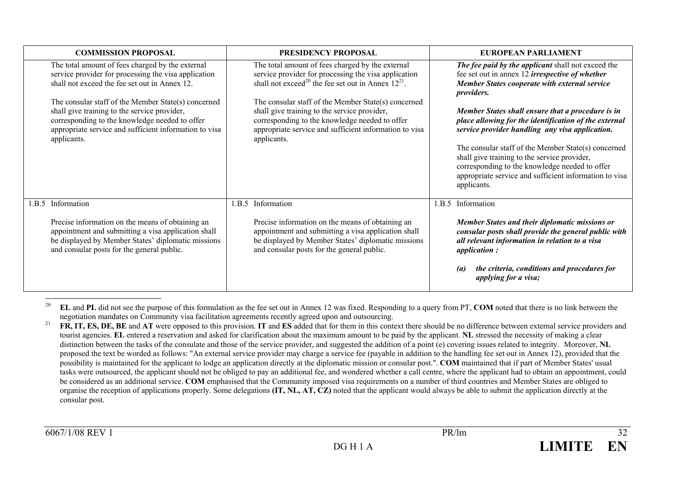| <b>COMMISSION PROPOSAL</b>                                                                                                                                                                                                     | <b>PRESIDENCY PROPOSAL</b>                                                                                                                                                                                                     | EUROPEAN PARLIAMENT                                                                                                                                                                                                                                                                                                                                                                             |
|--------------------------------------------------------------------------------------------------------------------------------------------------------------------------------------------------------------------------------|--------------------------------------------------------------------------------------------------------------------------------------------------------------------------------------------------------------------------------|-------------------------------------------------------------------------------------------------------------------------------------------------------------------------------------------------------------------------------------------------------------------------------------------------------------------------------------------------------------------------------------------------|
| The total amount of fees charged by the external<br>service provider for processing the visa application<br>shall not exceed the fee set out in Annex 12.                                                                      | The total amount of fees charged by the external<br>service provider for processing the visa application<br>shall not exceed <sup>20</sup> the fee set out in Annex $12^{21}$ .                                                | The fee paid by the applicant shall not exceed the<br>fee set out in annex 12 <i>irrespective of whether</i><br><b>Member States cooperate with external service</b><br><i>providers.</i>                                                                                                                                                                                                       |
| The consular staff of the Member State(s) concerned<br>shall give training to the service provider,<br>corresponding to the knowledge needed to offer<br>appropriate service and sufficient information to visa<br>applicants. | The consular staff of the Member State(s) concerned<br>shall give training to the service provider,<br>corresponding to the knowledge needed to offer<br>appropriate service and sufficient information to visa<br>applicants. | Member States shall ensure that a procedure is in<br>place allowing for the identification of the external<br>service provider handling any visa application.<br>The consular staff of the Member State(s) concerned<br>shall give training to the service provider,<br>corresponding to the knowledge needed to offer<br>appropriate service and sufficient information to visa<br>applicants. |
|                                                                                                                                                                                                                                |                                                                                                                                                                                                                                |                                                                                                                                                                                                                                                                                                                                                                                                 |
| Information<br>1.B.5                                                                                                                                                                                                           | 1.B.5 Information                                                                                                                                                                                                              | 1.B.5 Information                                                                                                                                                                                                                                                                                                                                                                               |
| Precise information on the means of obtaining an<br>appointment and submitting a visa application shall<br>be displayed by Member States' diplomatic missions<br>and consular posts for the general public.                    | Precise information on the means of obtaining an<br>appointment and submitting a visa application shall<br>be displayed by Member States' diplomatic missions<br>and consular posts for the general public.                    | Member States and their diplomatic missions or<br>consular posts shall provide the general public with<br>all relevant information in relation to a visa<br><i>application:</i>                                                                                                                                                                                                                 |
|                                                                                                                                                                                                                                |                                                                                                                                                                                                                                | the criteria, conditions and procedures for<br>$\left( a\right)$<br>applying for a visa;                                                                                                                                                                                                                                                                                                        |

<sup>20</sup> **EL** and **PL** did not see the purpose of this formulation as the fee set out in Annex 12 was fixed. Responding to a query from PT, **COM** noted that there is no link between the negotiation mandates on Community visa facilitation agreements recently agreed upon and outsourcing.

<sup>21</sup> **FR, IT, ES, DE, BE** and **AT** were opposed to this provision. **IT** and **ES** added that for them in this context there should be no difference between external service providers and tourist agencies. **EL** entered a reservation and asked for clarification about the maximum amount to be paid by the applicant. **NL** stressed the necessity of making a clear distinction between the tasks of the consulate and those of the service provider, and suggested the addition of a point (e) covering issues related to integrity. Moreover, **NL** proposed the text be worded as follows: "An external service provider may charge a service fee (payable in addition to the handling fee set out in Annex 12), provided that the possibility is maintained for the applicant to lodge an application directly at the diplomatic mission or consular post.". **COM** maintained that if part of Member States' usual tasks were outsourced, the applicant should not be obliged to pay an additional fee, and wondered whether a call centre, where the applicant had to obtain an appointment, could be considered as an additional service. **COM** emphasised that the Community imposed visa requirements on a number of third countries and Member States are obliged to organise the reception of applications properly. Some delegations **(IT, NL, AT, CZ)** noted that the applicant would always be able to submit the application directly at the consular post.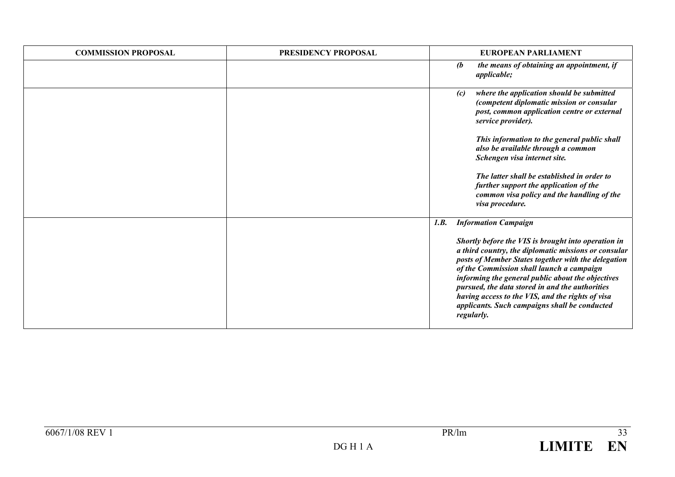| <b>COMMISSION PROPOSAL</b> | PRESIDENCY PROPOSAL | <b>EUROPEAN PARLIAMENT</b>                                                                                                                                                                                                                                                                                                                                                                                                                                                        |
|----------------------------|---------------------|-----------------------------------------------------------------------------------------------------------------------------------------------------------------------------------------------------------------------------------------------------------------------------------------------------------------------------------------------------------------------------------------------------------------------------------------------------------------------------------|
|                            |                     | the means of obtaining an appointment, if<br>$\mathbf{r}$<br><i>applicable;</i>                                                                                                                                                                                                                                                                                                                                                                                                   |
|                            |                     | where the application should be submitted<br>(c)<br>(competent diplomatic mission or consular<br>post, common application centre or external<br>service provider).<br>This information to the general public shall<br>also be available through a common<br>Schengen visa internet site.<br>The latter shall be established in order to<br>further support the application of the<br>common visa policy and the handling of the<br>visa procedure.                                |
|                            |                     | 1.B.<br><b>Information Campaign</b><br>Shortly before the VIS is brought into operation in<br>a third country, the diplomatic missions or consular<br>posts of Member States together with the delegation<br>of the Commission shall launch a campaign<br>informing the general public about the objectives<br>pursued, the data stored in and the authorities<br>having access to the VIS, and the rights of visa<br>applicants. Such campaigns shall be conducted<br>regularly. |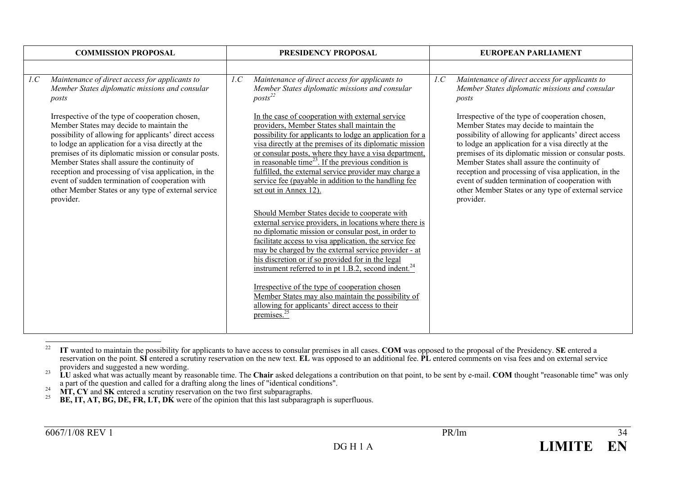| <b>COMMISSION PROPOSAL</b>                                                                                                                                                                                                                                                                                                                                                                                                                                                                         | PRESIDENCY PROPOSAL                                                                                                                                                                                                                                                                                                                                                                                                                                                                                                                                                                                                                                                                                                                                                                                                                                                                                        | <b>EUROPEAN PARLIAMENT</b>                                                                                                                                                                                                                                                                                                                                                                                                                                                                         |
|----------------------------------------------------------------------------------------------------------------------------------------------------------------------------------------------------------------------------------------------------------------------------------------------------------------------------------------------------------------------------------------------------------------------------------------------------------------------------------------------------|------------------------------------------------------------------------------------------------------------------------------------------------------------------------------------------------------------------------------------------------------------------------------------------------------------------------------------------------------------------------------------------------------------------------------------------------------------------------------------------------------------------------------------------------------------------------------------------------------------------------------------------------------------------------------------------------------------------------------------------------------------------------------------------------------------------------------------------------------------------------------------------------------------|----------------------------------------------------------------------------------------------------------------------------------------------------------------------------------------------------------------------------------------------------------------------------------------------------------------------------------------------------------------------------------------------------------------------------------------------------------------------------------------------------|
|                                                                                                                                                                                                                                                                                                                                                                                                                                                                                                    |                                                                                                                                                                                                                                                                                                                                                                                                                                                                                                                                                                                                                                                                                                                                                                                                                                                                                                            |                                                                                                                                                                                                                                                                                                                                                                                                                                                                                                    |
| Maintenance of direct access for applicants to<br>1.C<br>Member States diplomatic missions and consular<br>posts                                                                                                                                                                                                                                                                                                                                                                                   | Maintenance of direct access for applicants to<br>1.C<br>Member States diplomatic missions and consular<br>$\textit{posts}^{\text{22}}$                                                                                                                                                                                                                                                                                                                                                                                                                                                                                                                                                                                                                                                                                                                                                                    | 1.C<br>Maintenance of direct access for applicants to<br>Member States diplomatic missions and consular<br>posts                                                                                                                                                                                                                                                                                                                                                                                   |
| Irrespective of the type of cooperation chosen,<br>Member States may decide to maintain the<br>possibility of allowing for applicants' direct access<br>to lodge an application for a visa directly at the<br>premises of its diplomatic mission or consular posts.<br>Member States shall assure the continuity of<br>reception and processing of visa application, in the<br>event of sudden termination of cooperation with<br>other Member States or any type of external service<br>provider. | In the case of cooperation with external service<br>providers, Member States shall maintain the<br>possibility for applicants to lodge an application for a<br>visa directly at the premises of its diplomatic mission<br>or consular posts, where they have a visa department,<br>in reasonable time <sup>23</sup> . If the previous condition is<br>fulfilled, the external service provider may charge a<br>service fee (payable in addition to the handling fee<br>set out in Annex 12).<br>Should Member States decide to cooperate with<br>external service providers, in locations where there is<br>no diplomatic mission or consular post, in order to<br>facilitate access to visa application, the service fee<br>may be charged by the external service provider - at<br>his discretion or if so provided for in the legal<br>instrument referred to in pt 1.B.2, second indent. <sup>24</sup> | Irrespective of the type of cooperation chosen,<br>Member States may decide to maintain the<br>possibility of allowing for applicants' direct access<br>to lodge an application for a visa directly at the<br>premises of its diplomatic mission or consular posts.<br>Member States shall assure the continuity of<br>reception and processing of visa application, in the<br>event of sudden termination of cooperation with<br>other Member States or any type of external service<br>provider. |
|                                                                                                                                                                                                                                                                                                                                                                                                                                                                                                    | Irrespective of the type of cooperation chosen<br>Member States may also maintain the possibility of<br>allowing for applicants' direct access to their<br>premises. <sup>25</sup>                                                                                                                                                                                                                                                                                                                                                                                                                                                                                                                                                                                                                                                                                                                         |                                                                                                                                                                                                                                                                                                                                                                                                                                                                                                    |

<sup>&</sup>lt;sup>22</sup> IT wanted to maintain the possibility for applicants to have access to consular premises in all cases. **COM** was opposed to the proposal of the Presidency. **SE** entered a reservation on the point. **SI** entered a scrutiny reservation on the new text. **EL** was opposed to an additional fee. **PL** entered comments on visa fees and on external service providers and suggested a new wording.

<sup>&</sup>lt;sup>23</sup> LU asked what was actually meant by reasonable time. The Chair asked delegations a contribution on that point, to be sent by e-mail. COM thought "reasonable time" was only a part of the question and called for a drafting along the lines of "identical conditions".<br>
MT, CY and SK entered a scrutiny reservation on the two first subparagraphs.<br>
BE, IT, AT, BG, DE, FR, LT, DK were of the opinion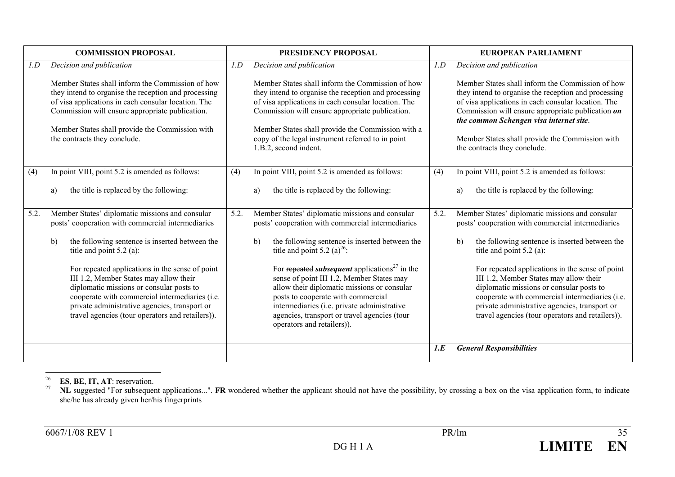|      | <b>COMMISSION PROPOSAL</b>                                                                                                                                                                                                                                                                            |      | PRESIDENCY PROPOSAL                                                                                                                                                                                                                                                                                                                                   |      | <b>EUROPEAN PARLIAMENT</b>                                                                                                                                                                                                                                                                                                                         |
|------|-------------------------------------------------------------------------------------------------------------------------------------------------------------------------------------------------------------------------------------------------------------------------------------------------------|------|-------------------------------------------------------------------------------------------------------------------------------------------------------------------------------------------------------------------------------------------------------------------------------------------------------------------------------------------------------|------|----------------------------------------------------------------------------------------------------------------------------------------------------------------------------------------------------------------------------------------------------------------------------------------------------------------------------------------------------|
| 1.D  | Decision and publication                                                                                                                                                                                                                                                                              | 1.D  | Decision and publication                                                                                                                                                                                                                                                                                                                              | 1.D  | Decision and publication                                                                                                                                                                                                                                                                                                                           |
|      | Member States shall inform the Commission of how<br>they intend to organise the reception and processing<br>of visa applications in each consular location. The<br>Commission will ensure appropriate publication.<br>Member States shall provide the Commission with<br>the contracts they conclude. |      | Member States shall inform the Commission of how<br>they intend to organise the reception and processing<br>of visa applications in each consular location. The<br>Commission will ensure appropriate publication.<br>Member States shall provide the Commission with a<br>copy of the legal instrument referred to in point<br>1.B.2, second indent. |      | Member States shall inform the Commission of how<br>they intend to organise the reception and processing<br>of visa applications in each consular location. The<br>Commission will ensure appropriate publication on<br>the common Schengen visa internet site.<br>Member States shall provide the Commission with<br>the contracts they conclude. |
| (4)  | In point VIII, point 5.2 is amended as follows:                                                                                                                                                                                                                                                       | (4)  | In point VIII, point 5.2 is amended as follows:                                                                                                                                                                                                                                                                                                       | (4)  | In point VIII, point 5.2 is amended as follows:                                                                                                                                                                                                                                                                                                    |
|      | the title is replaced by the following:<br>a)                                                                                                                                                                                                                                                         |      | the title is replaced by the following:<br>a)                                                                                                                                                                                                                                                                                                         |      | the title is replaced by the following:<br>a)                                                                                                                                                                                                                                                                                                      |
| 5.2. | Member States' diplomatic missions and consular<br>posts' cooperation with commercial intermediaries                                                                                                                                                                                                  | 5.2. | Member States' diplomatic missions and consular<br>posts' cooperation with commercial intermediaries                                                                                                                                                                                                                                                  | 5.2. | Member States' diplomatic missions and consular<br>posts' cooperation with commercial intermediaries                                                                                                                                                                                                                                               |
|      | the following sentence is inserted between the<br>$\mathbf{b}$<br>title and point $5.2$ (a):                                                                                                                                                                                                          |      | the following sentence is inserted between the<br>$\mathbf{b}$<br>title and point 5.2 (a) <sup>26</sup> :                                                                                                                                                                                                                                             |      | the following sentence is inserted between the<br>$\mathbf{b}$<br>title and point $5.2$ (a):                                                                                                                                                                                                                                                       |
|      | For repeated applications in the sense of point<br>III 1.2, Member States may allow their<br>diplomatic missions or consular posts to<br>cooperate with commercial intermediaries (i.e.<br>private administrative agencies, transport or<br>travel agencies (tour operators and retailers)).          |      | For repeated <i>subsequent</i> applications <sup>27</sup> in the<br>sense of point III 1.2, Member States may<br>allow their diplomatic missions or consular<br>posts to cooperate with commercial<br>intermediaries (i.e. private administrative<br>agencies, transport or travel agencies (tour<br>operators and retailers)).                       |      | For repeated applications in the sense of point<br>III 1.2, Member States may allow their<br>diplomatic missions or consular posts to<br>cooperate with commercial intermediaries (i.e.<br>private administrative agencies, transport or<br>travel agencies (tour operators and retailers)).                                                       |
|      |                                                                                                                                                                                                                                                                                                       |      |                                                                                                                                                                                                                                                                                                                                                       | 1.E  | <b>General Responsibilities</b>                                                                                                                                                                                                                                                                                                                    |

26**ES**, **BE**, **IT, AT**: reservation.

27 **NL** suggested "For subsequent applications...". **FR** wondered whether the applicant should not have the possibility, by crossing a box on the visa application form, to indicate she/he has already given her/his fingerprints

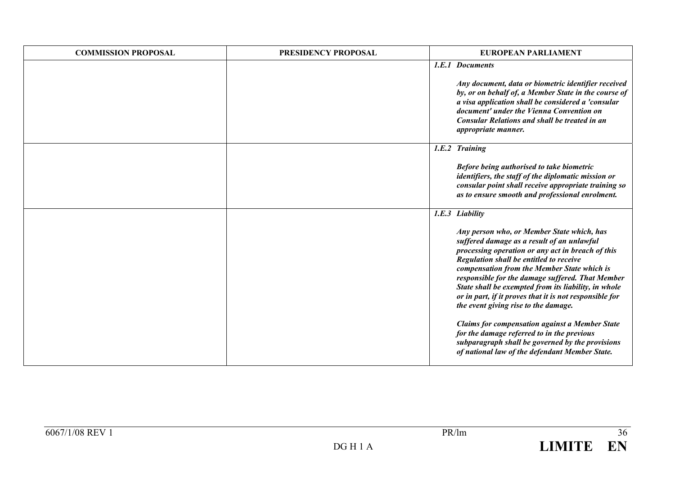| <b>COMMISSION PROPOSAL</b> | PRESIDENCY PROPOSAL | <b>EUROPEAN PARLIAMENT</b>                                                                                                                                                                                                                                                                                                                                                                                                                             |
|----------------------------|---------------------|--------------------------------------------------------------------------------------------------------------------------------------------------------------------------------------------------------------------------------------------------------------------------------------------------------------------------------------------------------------------------------------------------------------------------------------------------------|
|                            |                     | 1.E.1 Documents                                                                                                                                                                                                                                                                                                                                                                                                                                        |
|                            |                     | Any document, data or biometric identifier received<br>by, or on behalf of, a Member State in the course of<br>a visa application shall be considered a 'consular<br>document' under the Vienna Convention on<br><b>Consular Relations and shall be treated in an</b><br>appropriate manner.                                                                                                                                                           |
|                            |                     | 1.E.2 Training                                                                                                                                                                                                                                                                                                                                                                                                                                         |
|                            |                     | Before being authorised to take biometric<br>identifiers, the staff of the diplomatic mission or<br>consular point shall receive appropriate training so<br>as to ensure smooth and professional enrolment.                                                                                                                                                                                                                                            |
|                            |                     | 1.E.3 Liability                                                                                                                                                                                                                                                                                                                                                                                                                                        |
|                            |                     | Any person who, or Member State which, has<br>suffered damage as a result of an unlawful<br>processing operation or any act in breach of this<br>Regulation shall be entitled to receive<br>compensation from the Member State which is<br>responsible for the damage suffered. That Member<br>State shall be exempted from its liability, in whole<br>or in part, if it proves that it is not responsible for<br>the event giving rise to the damage. |
|                            |                     | <b>Claims for compensation against a Member State</b><br>for the damage referred to in the previous<br>subparagraph shall be governed by the provisions<br>of national law of the defendant Member State.                                                                                                                                                                                                                                              |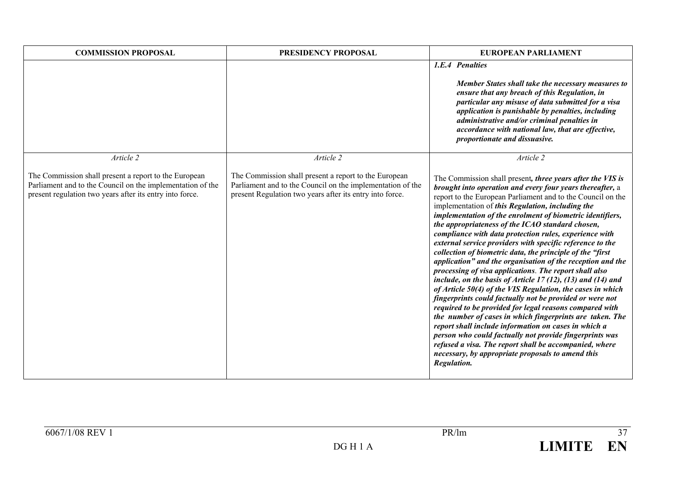| <b>COMMISSION PROPOSAL</b>                                                                                                                                                                   | PRESIDENCY PROPOSAL                                                                                                                                                                          | <b>EUROPEAN PARLIAMENT</b>                                                                                                                                                                                                                                                                                                                                                                                                                                                                                                                                                                                                                                                                                                                                                                                                                                                                                                                                                                                                                                                                                                                                                                                                                            |
|----------------------------------------------------------------------------------------------------------------------------------------------------------------------------------------------|----------------------------------------------------------------------------------------------------------------------------------------------------------------------------------------------|-------------------------------------------------------------------------------------------------------------------------------------------------------------------------------------------------------------------------------------------------------------------------------------------------------------------------------------------------------------------------------------------------------------------------------------------------------------------------------------------------------------------------------------------------------------------------------------------------------------------------------------------------------------------------------------------------------------------------------------------------------------------------------------------------------------------------------------------------------------------------------------------------------------------------------------------------------------------------------------------------------------------------------------------------------------------------------------------------------------------------------------------------------------------------------------------------------------------------------------------------------|
|                                                                                                                                                                                              |                                                                                                                                                                                              | 1.E.4 Penalties<br>Member States shall take the necessary measures to<br>ensure that any breach of this Regulation, in<br>particular any misuse of data submitted for a visa<br>application is punishable by penalties, including<br>administrative and/or criminal penalties in<br>accordance with national law, that are effective,<br>proportionate and dissuasive.                                                                                                                                                                                                                                                                                                                                                                                                                                                                                                                                                                                                                                                                                                                                                                                                                                                                                |
| Article 2<br>The Commission shall present a report to the European<br>Parliament and to the Council on the implementation of the<br>present regulation two years after its entry into force. | Article 2<br>The Commission shall present a report to the European<br>Parliament and to the Council on the implementation of the<br>present Regulation two years after its entry into force. | Article 2<br>The Commission shall present, three years after the VIS is<br>brought into operation and every four years thereafter, a<br>report to the European Parliament and to the Council on the<br>implementation of this Regulation, including the<br>implementation of the enrolment of biometric identifiers,<br>the appropriateness of the ICAO standard chosen,<br>compliance with data protection rules, experience with<br>external service providers with specific reference to the<br>collection of biometric data, the principle of the "first<br>application" and the organisation of the reception and the<br>processing of visa applications. The report shall also<br>include, on the basis of Article 17 (12), (13) and (14) and<br>of Article 50(4) of the VIS Regulation, the cases in which<br>fingerprints could factually not be provided or were not<br>required to be provided for legal reasons compared with<br>the number of cases in which fingerprints are taken. The<br>report shall include information on cases in which a<br>person who could factually not provide fingerprints was<br>refused a visa. The report shall be accompanied, where<br>necessary, by appropriate proposals to amend this<br>Regulation. |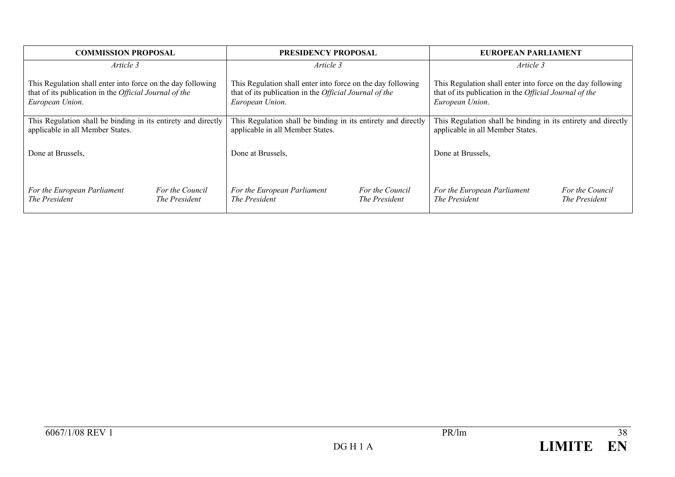| <b>COMMISSION PROPOSAL</b>                                                                                                               |                                  | <b>PRESIDENCY PROPOSAL</b>                                                                                                               |                                  | EUROPEAN PARLIAMENT                                                                                                                      |                                  |
|------------------------------------------------------------------------------------------------------------------------------------------|----------------------------------|------------------------------------------------------------------------------------------------------------------------------------------|----------------------------------|------------------------------------------------------------------------------------------------------------------------------------------|----------------------------------|
| Article 3                                                                                                                                |                                  | Article 3                                                                                                                                |                                  | Article 3                                                                                                                                |                                  |
| This Regulation shall enter into force on the day following<br>that of its publication in the Official Journal of the<br>European Union. |                                  | This Regulation shall enter into force on the day following<br>that of its publication in the Official Journal of the<br>European Union. |                                  | This Regulation shall enter into force on the day following<br>that of its publication in the Official Journal of the<br>European Union. |                                  |
| This Regulation shall be binding in its entirety and directly<br>applicable in all Member States.                                        |                                  | This Regulation shall be binding in its entirety and directly<br>applicable in all Member States.                                        |                                  | This Regulation shall be binding in its entirety and directly<br>applicable in all Member States.                                        |                                  |
| Done at Brussels,                                                                                                                        |                                  | Done at Brussels,                                                                                                                        |                                  | Done at Brussels,                                                                                                                        |                                  |
| For the European Parliament<br>The President                                                                                             | For the Council<br>The President | For the European Parliament<br>The President                                                                                             | For the Council<br>The President | For the European Parliament<br>The President                                                                                             | For the Council<br>The President |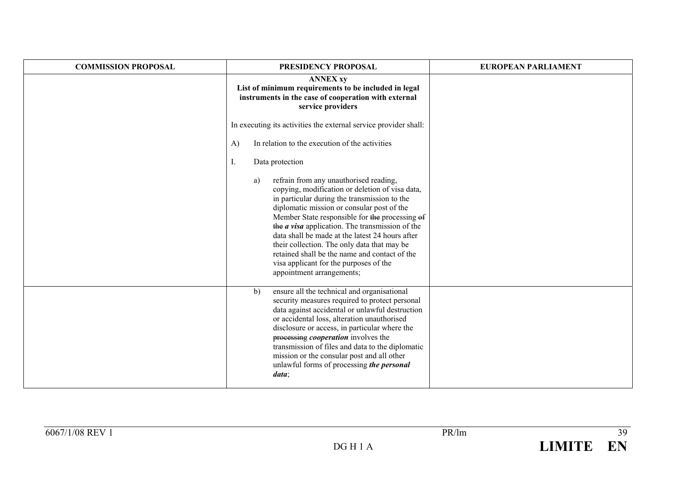| <b>COMMISSION PROPOSAL</b> | PRESIDENCY PROPOSAL                                                                                                                                                                                                                                                                                                                                                                                                                                                                                                                 | <b>EUROPEAN PARLIAMENT</b> |
|----------------------------|-------------------------------------------------------------------------------------------------------------------------------------------------------------------------------------------------------------------------------------------------------------------------------------------------------------------------------------------------------------------------------------------------------------------------------------------------------------------------------------------------------------------------------------|----------------------------|
|                            | <b>ANNEX xy</b><br>List of minimum requirements to be included in legal<br>instruments in the case of cooperation with external<br>service providers                                                                                                                                                                                                                                                                                                                                                                                |                            |
|                            | In executing its activities the external service provider shall:                                                                                                                                                                                                                                                                                                                                                                                                                                                                    |                            |
|                            | In relation to the execution of the activities<br>A)                                                                                                                                                                                                                                                                                                                                                                                                                                                                                |                            |
|                            | Data protection<br>Ι.                                                                                                                                                                                                                                                                                                                                                                                                                                                                                                               |                            |
|                            | refrain from any unauthorised reading,<br>a)<br>copying, modification or deletion of visa data,<br>in particular during the transmission to the<br>diplomatic mission or consular post of the<br>Member State responsible for the processing of<br>the <i>a visa</i> application. The transmission of the<br>data shall be made at the latest 24 hours after<br>their collection. The only data that may be<br>retained shall be the name and contact of the<br>visa applicant for the purposes of the<br>appointment arrangements; |                            |
|                            | ensure all the technical and organisational<br>b)<br>security measures required to protect personal<br>data against accidental or unlawful destruction<br>or accidental loss, alteration unauthorised<br>disclosure or access, in particular where the<br>processing <i>cooperation</i> involves the<br>transmission of files and data to the diplomatic<br>mission or the consular post and all other<br>unlawful forms of processing the personal<br>data;                                                                        |                            |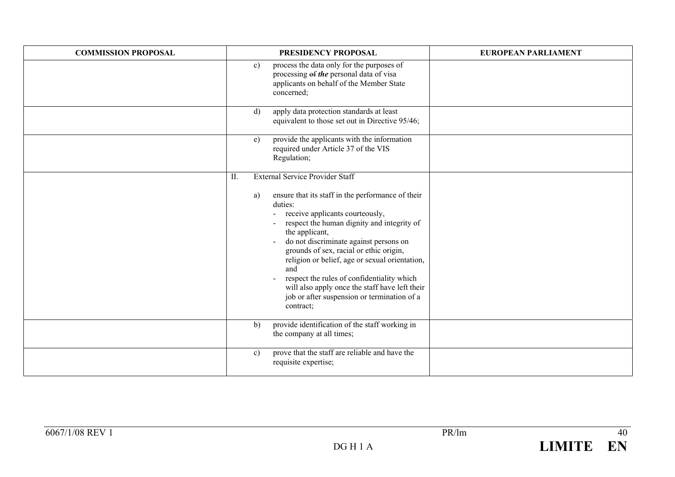| <b>COMMISSION PROPOSAL</b> | PRESIDENCY PROPOSAL                                                                                                                                                                                                                                                                                                                                                                                                                                                                                                              | <b>EUROPEAN PARLIAMENT</b> |
|----------------------------|----------------------------------------------------------------------------------------------------------------------------------------------------------------------------------------------------------------------------------------------------------------------------------------------------------------------------------------------------------------------------------------------------------------------------------------------------------------------------------------------------------------------------------|----------------------------|
|                            | process the data only for the purposes of<br>c)<br>processing of the personal data of visa<br>applicants on behalf of the Member State<br>concerned;                                                                                                                                                                                                                                                                                                                                                                             |                            |
|                            | apply data protection standards at least<br>d)<br>equivalent to those set out in Directive 95/46;                                                                                                                                                                                                                                                                                                                                                                                                                                |                            |
|                            | provide the applicants with the information<br>e)<br>required under Article 37 of the VIS<br>Regulation;                                                                                                                                                                                                                                                                                                                                                                                                                         |                            |
|                            | <b>External Service Provider Staff</b><br>II.<br>ensure that its staff in the performance of their<br>a)<br>duties:<br>receive applicants courteously,<br>respect the human dignity and integrity of<br>the applicant,<br>do not discriminate against persons on<br>grounds of sex, racial or ethic origin,<br>religion or belief, age or sexual orientation,<br>and<br>respect the rules of confidentiality which<br>will also apply once the staff have left their<br>job or after suspension or termination of a<br>contract; |                            |
|                            | provide identification of the staff working in<br>b)<br>the company at all times;                                                                                                                                                                                                                                                                                                                                                                                                                                                |                            |
|                            | prove that the staff are reliable and have the<br>c)<br>requisite expertise;                                                                                                                                                                                                                                                                                                                                                                                                                                                     |                            |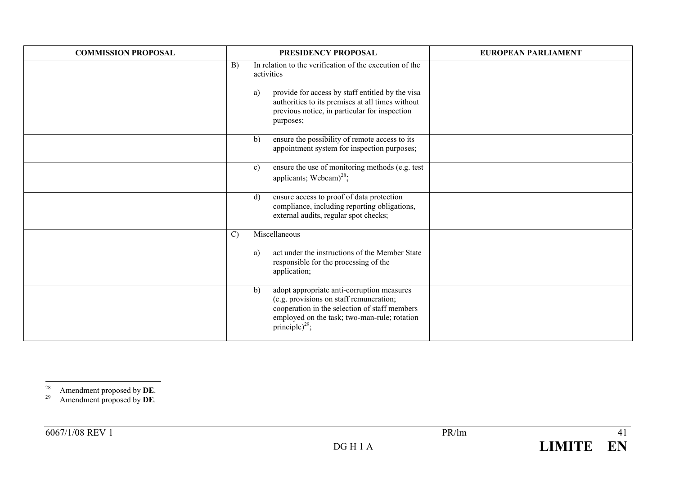| <b>COMMISSION PROPOSAL</b> | PRESIDENCY PROPOSAL                                                                                                                                                                                                        | <b>EUROPEAN PARLIAMENT</b> |
|----------------------------|----------------------------------------------------------------------------------------------------------------------------------------------------------------------------------------------------------------------------|----------------------------|
|                            | In relation to the verification of the execution of the<br>B)<br>activities                                                                                                                                                |                            |
|                            | provide for access by staff entitled by the visa<br>a)<br>authorities to its premises at all times without<br>previous notice, in particular for inspection<br>purposes;                                                   |                            |
|                            | ensure the possibility of remote access to its<br>b)<br>appointment system for inspection purposes;                                                                                                                        |                            |
|                            | ensure the use of monitoring methods (e.g. test<br>c)<br>applicants; Webcam $)^{28}$ ;                                                                                                                                     |                            |
|                            | ensure access to proof of data protection<br>$\mathbf{d}$<br>compliance, including reporting obligations,<br>external audits, regular spot checks;                                                                         |                            |
|                            | Miscellaneous<br>$\mathcal{C}$                                                                                                                                                                                             |                            |
|                            | act under the instructions of the Member State<br>a)<br>responsible for the processing of the<br>application;                                                                                                              |                            |
|                            | adopt appropriate anti-corruption measures<br>b)<br>(e.g. provisions on staff remuneration;<br>cooperation in the selection of staff members<br>employed on the task; two-man-rule; rotation<br>principle) <sup>29</sup> ; |                            |

29 Amendment proposed by **DE**.

<sup>28</sup> Amendment proposed by **DE**.